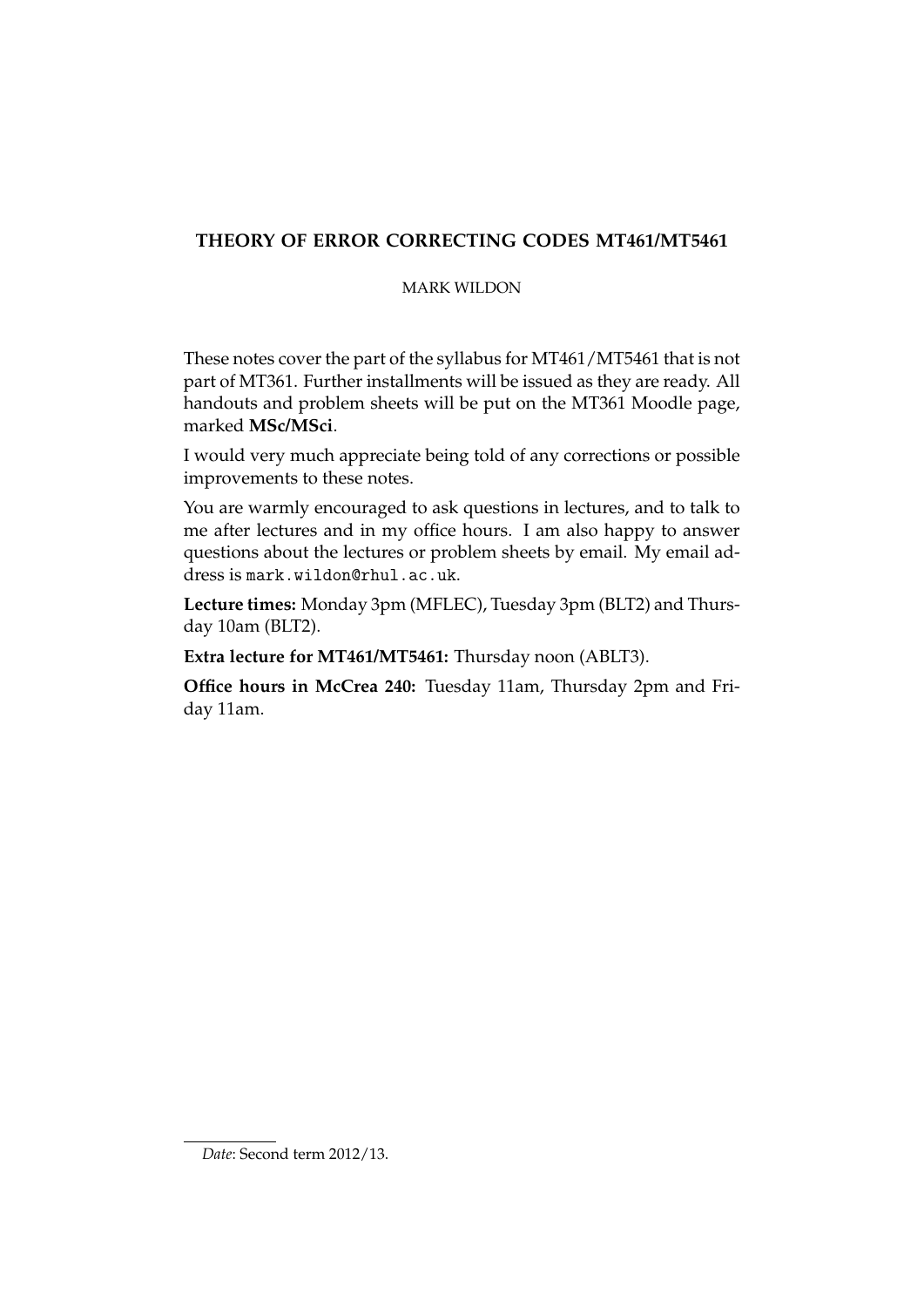# **THEORY OF ERROR CORRECTING CODES MT461/MT5461**

# MARK WILDON

These notes cover the part of the syllabus for MT461/MT5461 that is not part of MT361. Further installments will be issued as they are ready. All handouts and problem sheets will be put on the MT361 Moodle page, marked **MSc/MSci**.

I would very much appreciate being told of any corrections or possible improvements to these notes.

You are warmly encouraged to ask questions in lectures, and to talk to me after lectures and in my office hours. I am also happy to answer questions about the lectures or problem sheets by email. My email address is mark.wildon@rhul.ac.uk.

**Lecture times:** Monday 3pm (MFLEC), Tuesday 3pm (BLT2) and Thursday 10am (BLT2).

**Extra lecture for MT461/MT5461:** Thursday noon (ABLT3).

**Office hours in McCrea 240:** Tuesday 11am, Thursday 2pm and Friday 11am.

*Date*: Second term 2012/13.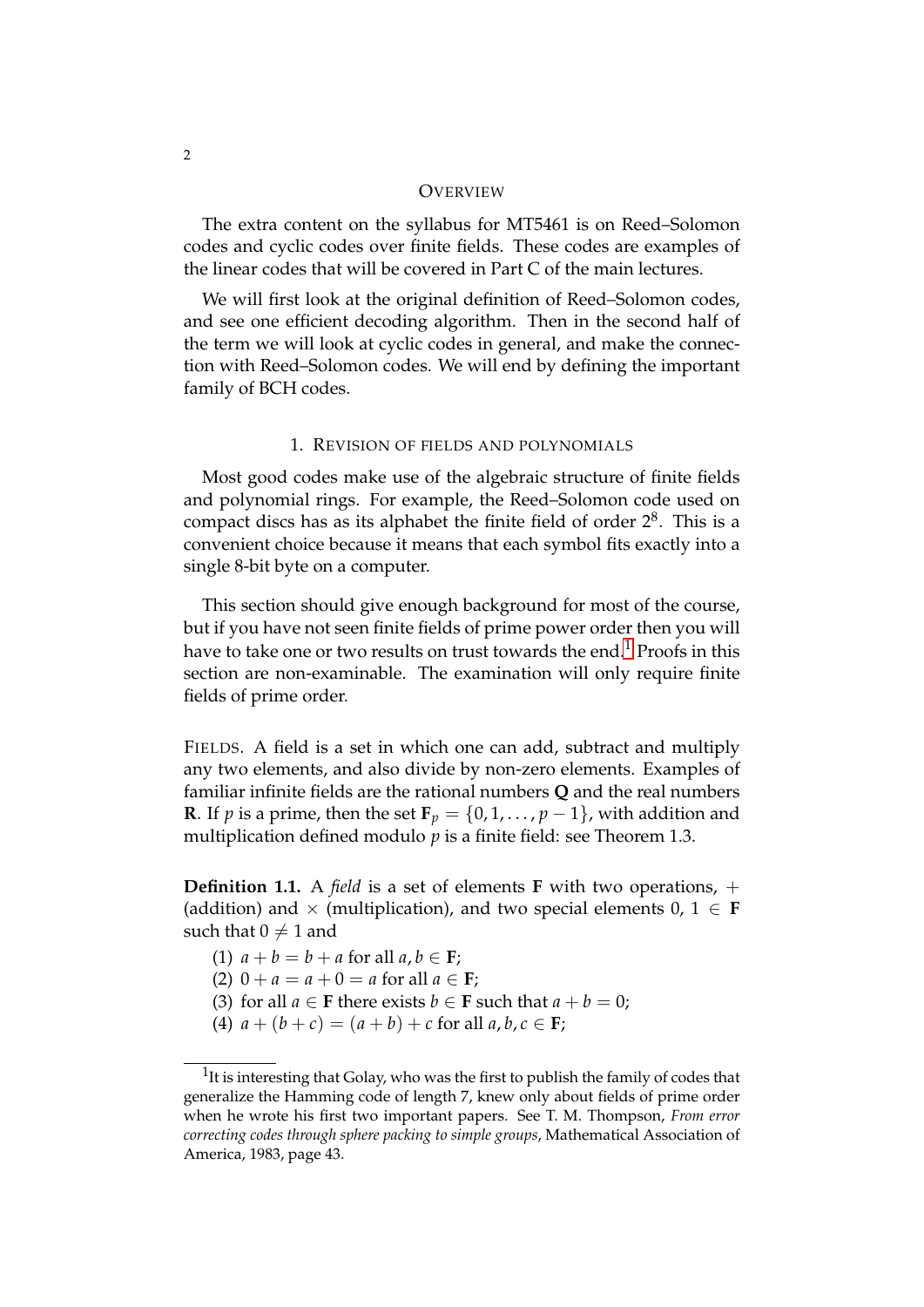#### **OVERVIEW**

The extra content on the syllabus for MT5461 is on Reed–Solomon codes and cyclic codes over finite fields. These codes are examples of the linear codes that will be covered in Part C of the main lectures.

We will first look at the original definition of Reed–Solomon codes, and see one efficient decoding algorithm. Then in the second half of the term we will look at cyclic codes in general, and make the connection with Reed–Solomon codes. We will end by defining the important family of BCH codes.

#### 1. REVISION OF FIELDS AND POLYNOMIALS

Most good codes make use of the algebraic structure of finite fields and polynomial rings. For example, the Reed–Solomon code used on compact discs has as its alphabet the finite field of order  $2^8$ . This is a convenient choice because it means that each symbol fits exactly into a single 8-bit byte on a computer.

This section should give enough background for most of the course, but if you have not seen finite fields of prime power order then you will have to take one or two results on trust towards the end.<sup>[1](#page-1-0)</sup> Proofs in this section are non-examinable. The examination will only require finite fields of prime order.

FIELDS. A field is a set in which one can add, subtract and multiply any two elements, and also divide by non-zero elements. Examples of familiar infinite fields are the rational numbers **Q** and the real numbers **R**. If *p* is a prime, then the set  $\mathbf{F}_p = \{0, 1, \ldots, p-1\}$ , with addition and multiplication defined modulo  $p$  is a finite field: see Theorem 1.3.

**Definition 1.1.** A *field* is a set of elements **F** with two operations, + (addition) and  $\times$  (multiplication), and two special elements  $0, 1 \in F$ such that  $0 \neq 1$  and

- (1)  $a + b = b + a$  for all  $a, b \in \mathbf{F}$ ;
- (2)  $0 + a = a + 0 = a$  for all  $a \in F$ ;
- (3) for all  $a \in \mathbf{F}$  there exists  $b \in \mathbf{F}$  such that  $a + b = 0$ ;
- (4)  $a + (b + c) = (a + b) + c$  for all  $a, b, c \in \mathbf{F}$ ;

<span id="page-1-0"></span> $1$ It is interesting that Golay, who was the first to publish the family of codes that generalize the Hamming code of length 7, knew only about fields of prime order when he wrote his first two important papers. See T. M. Thompson, *From error correcting codes through sphere packing to simple groups*, Mathematical Association of America, 1983, page 43.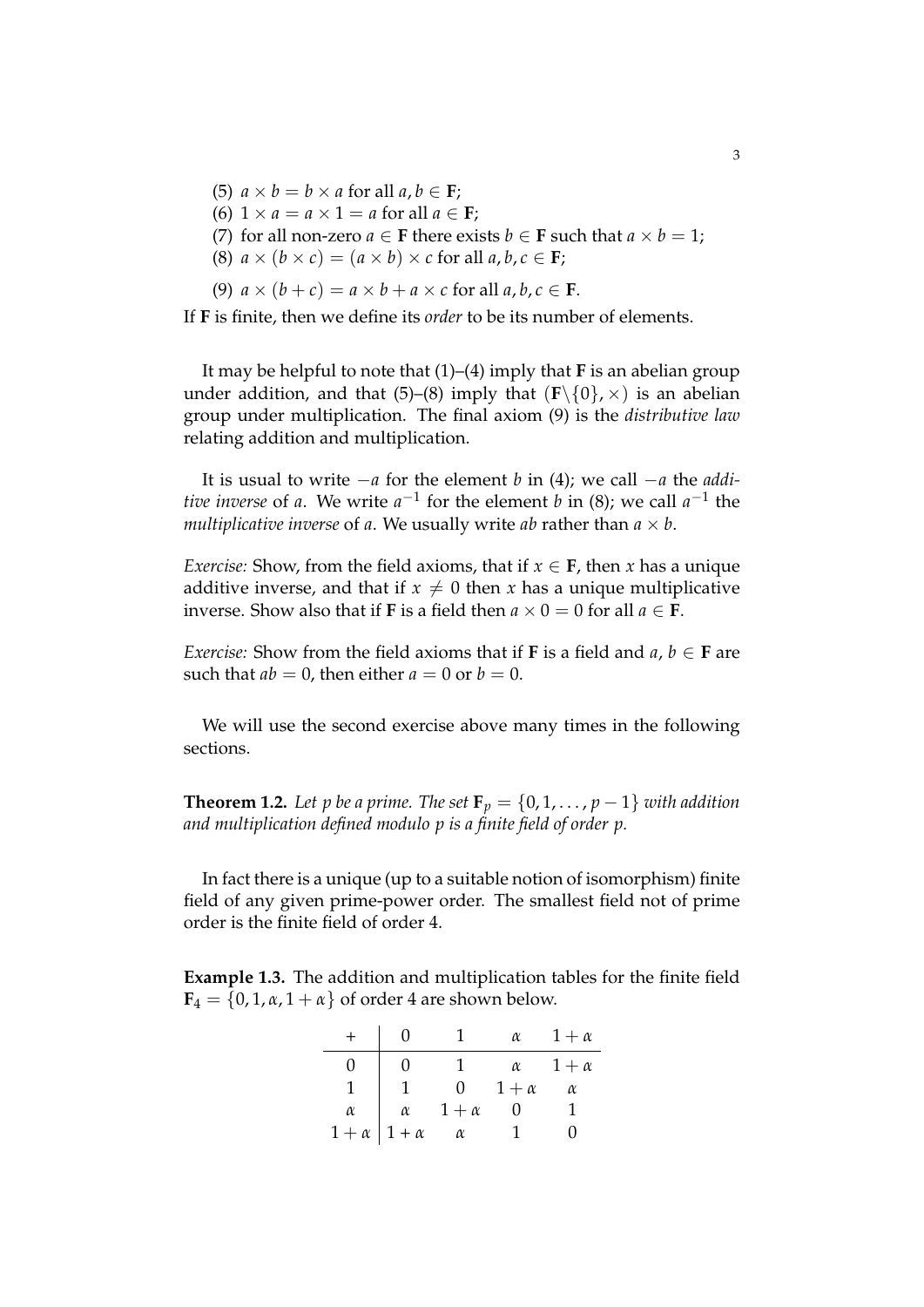- (5)  $a \times b = b \times a$  for all  $a, b \in \mathbf{F}$ ;
- (6)  $1 \times a = a \times 1 = a$  for all  $a \in \mathbf{F}$ ;
- (7) for all non-zero  $a \in \mathbf{F}$  there exists  $b \in \mathbf{F}$  such that  $a \times b = 1$ ;
- (8)  $a \times (b \times c) = (a \times b) \times c$  for all  $a, b, c \in \mathbf{F}$ ;
- (9)  $a \times (b + c) = a \times b + a \times c$  for all  $a, b, c \in \mathbf{F}$ .

If **F** is finite, then we define its *order* to be its number of elements.

It may be helpful to note that (1)–(4) imply that **F** is an abelian group under addition, and that (5)–(8) imply that  $(\mathbf{F}\setminus\{0\},\times)$  is an abelian group under multiplication. The final axiom (9) is the *distributive law* relating addition and multiplication.

It is usual to write −*a* for the element *b* in (4); we call −*a* the *additive inverse* of *a*. We write  $a^{-1}$  for the element *b* in (8); we call  $a^{-1}$  the *multiplicative inverse* of *a*. We usually write *ab* rather than  $a \times b$ .

*Exercise:* Show, from the field axioms, that if  $x \in F$ , then *x* has a unique additive inverse, and that if  $x \neq 0$  then *x* has a unique multiplicative inverse. Show also that if **F** is a field then  $a \times 0 = 0$  for all  $a \in \overline{F}$ .

*Exercise:* Show from the field axioms that if **F** is a field and  $a, b \in$  **F** are such that  $ab = 0$ , then either  $a = 0$  or  $b = 0$ .

We will use the second exercise above many times in the following sections.

**Theorem 1.2.** Let p be a prime. The set  $\mathbf{F}_p = \{0, 1, \ldots, p-1\}$  with addition *and multiplication defined modulo p is a finite field of order p.*

In fact there is a unique (up to a suitable notion of isomorphism) finite field of any given prime-power order. The smallest field not of prime order is the finite field of order 4.

**Example 1.3.** The addition and multiplication tables for the finite field  $\mathbf{F}_4 = \{0, 1, \alpha, 1 + \alpha\}$  of order 4 are shown below.

|            | $\theta$     |              | $\alpha$   | $1+\alpha$ |
|------------|--------------|--------------|------------|------------|
| 0          | $\theta$     |              | $\alpha$   | $1+\alpha$ |
|            |              | 0.           | $1+\alpha$ | $\alpha$   |
| $\alpha$   | $\alpha$     | $1 + \alpha$ |            |            |
| $1+\alpha$ | $1 + \alpha$ | $\alpha$     |            |            |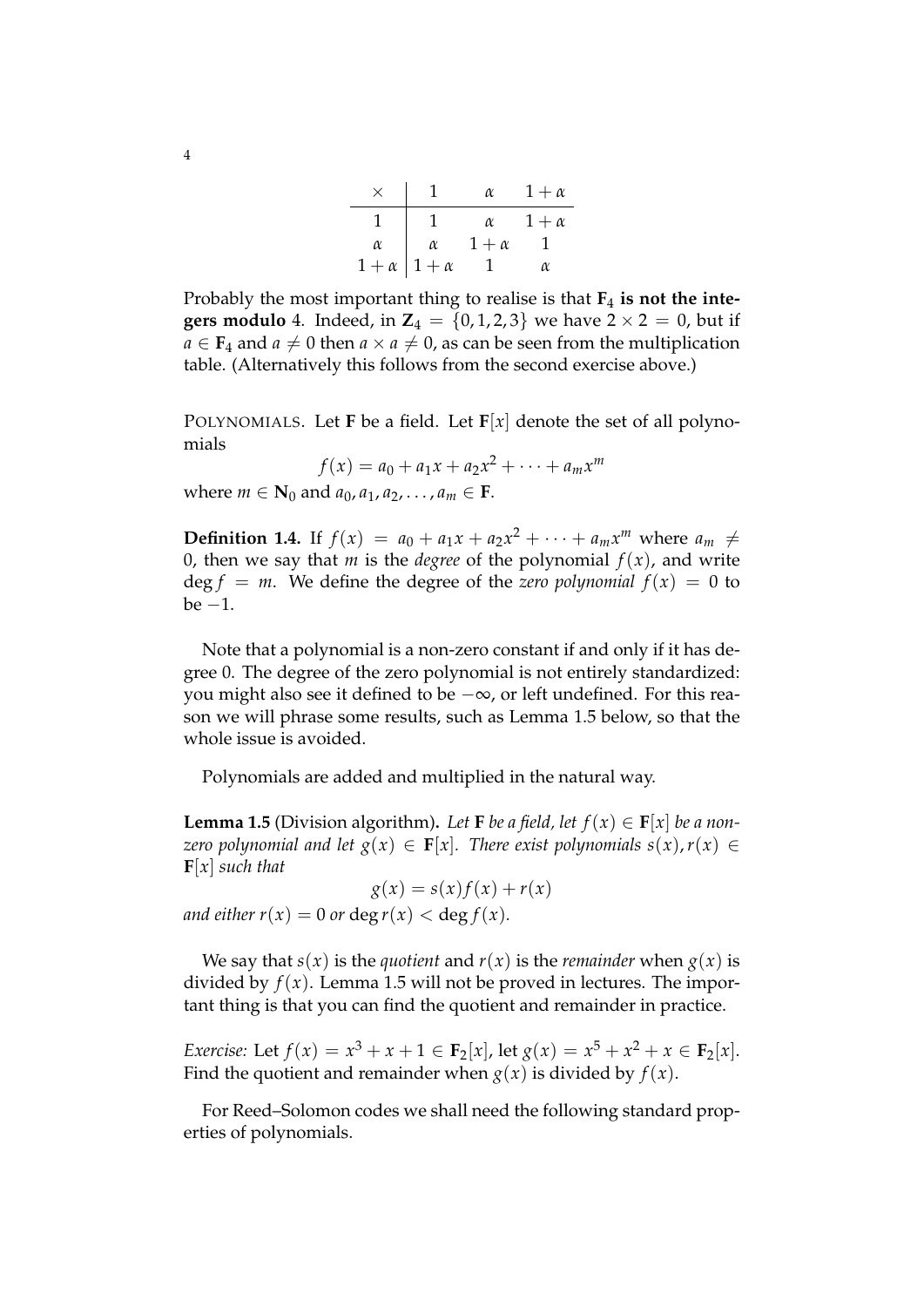|                          |          | $\alpha$     | $1 + \alpha$ |
|--------------------------|----------|--------------|--------------|
|                          |          | $\alpha$     | $1 + \alpha$ |
| $\alpha$                 | $\alpha$ | $1 + \alpha$ |              |
| $1+\alpha \mid 1+\alpha$ |          |              | OX.          |

Probably the most important thing to realise is that **F**<sup>4</sup> **is not the integers modulo** 4. Indeed, in  $Z_4 = \{0, 1, 2, 3\}$  we have  $2 \times 2 = 0$ , but if  $a \in \mathbf{F}_4$  and  $a \neq 0$  then  $a \times a \neq 0$ , as can be seen from the multiplication table. (Alternatively this follows from the second exercise above.)

POLYNOMIALS. Let **F** be a field. Let  $\mathbf{F}[x]$  denote the set of all polynomials

$$
f(x) = a_0 + a_1 x + a_2 x^2 + \dots + a_m x^m
$$

where  $m \in \mathbb{N}_0$  and  $a_0, a_1, a_2, ..., a_m \in \mathbb{F}$ .

**Definition 1.4.** If  $f(x) = a_0 + a_1x + a_2x^2 + \cdots + a_mx^m$  where  $a_m \neq$ 0, then we say that *m* is the *degree* of the polynomial  $f(x)$ , and write  $\deg f = m$ . We define the degree of the *zero polynomial*  $f(x) = 0$  to  $be -1.$ 

Note that a polynomial is a non-zero constant if and only if it has degree 0. The degree of the zero polynomial is not entirely standardized: you might also see it defined to be −∞, or left undefined. For this reason we will phrase some results, such as Lemma 1.5 below, so that the whole issue is avoided.

Polynomials are added and multiplied in the natural way.

**Lemma 1.5** (Division algorithm). Let **F** be a field, let  $f(x) \in F[x]$  be a non*zero polynomial and let*  $g(x) \in F[x]$ *. There exist polynomials*  $s(x)$ *,*  $r(x) \in$ **F**[*x*] *such that*

 $g(x) = s(x)f(x) + r(x)$ *and either r(x)* = 0 *or* deg *r(x)* < deg *f(x)*.

We say that *s*(*x*) is the *quotient* and *r*(*x*) is the *remainder* when *g*(*x*) is divided by  $f(x)$ . Lemma 1.5 will not be proved in lectures. The important thing is that you can find the quotient and remainder in practice.

*Exercise:* Let  $f(x) = x^3 + x + 1 \in \mathbf{F}_2[x]$ , let  $g(x) = x^5 + x^2 + x \in \mathbf{F}_2[x]$ . Find the quotient and remainder when  $g(x)$  is divided by  $f(x)$ .

For Reed–Solomon codes we shall need the following standard properties of polynomials.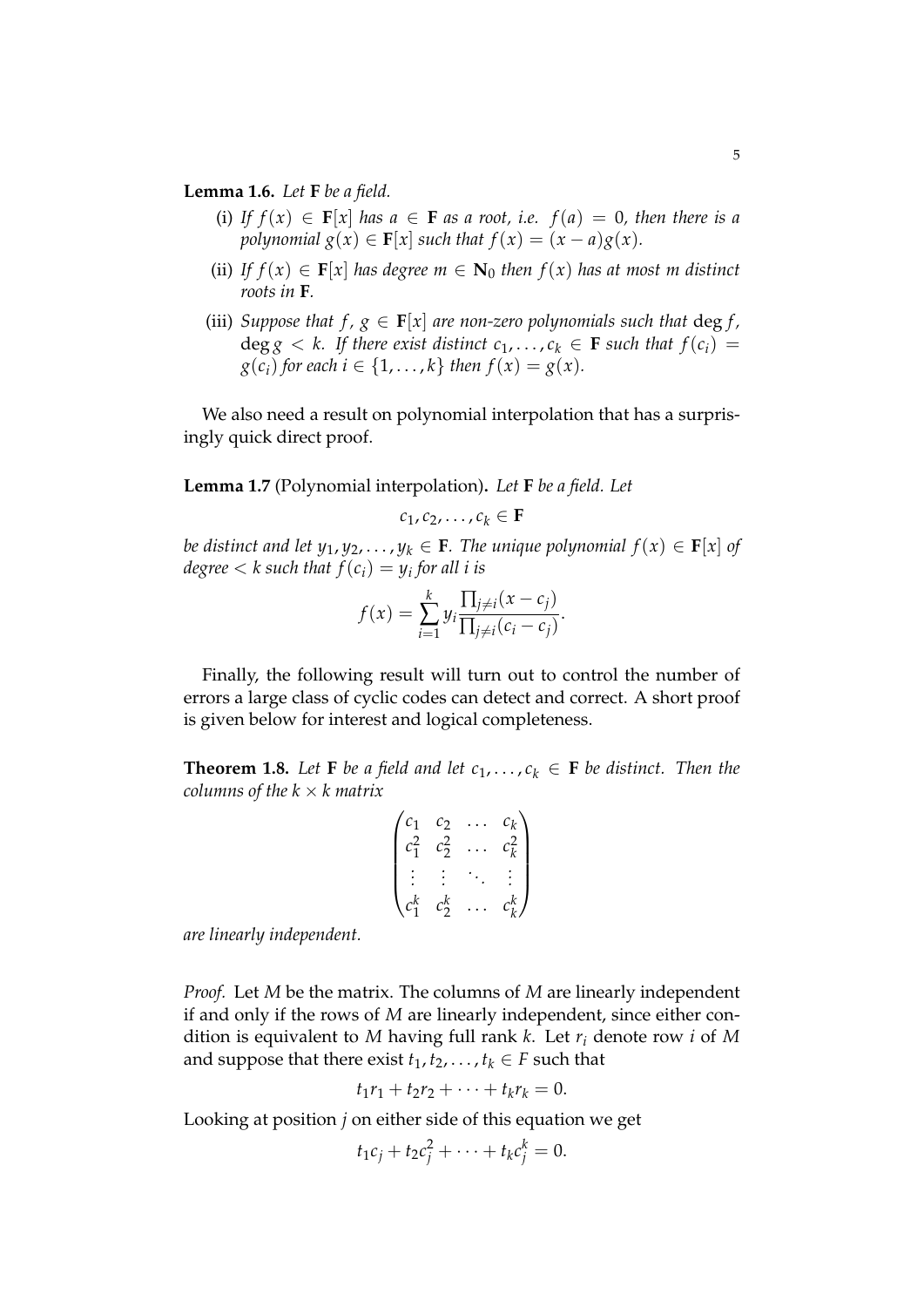**Lemma 1.6.** *Let* **F** *be a field.*

- (i) If  $f(x) \in F[x]$  has  $a \in F$  *as a root, i.e.*  $f(a) = 0$ *, then there is a polynomial*  $g(x) \in F[x]$  *such that*  $f(x) = (x - a)g(x)$ *.*
- (ii) *If*  $f(x) \in F[x]$  *has degree*  $m \in N_0$  *then*  $f(x)$  *has at most m distinct roots in* **F***.*
- (iii) *Suppose that f,*  $g \in \mathbf{F}[x]$  *are non-zero polynomials such that deg f,*  $\deg g < k$ . If there exist distinct  $c_1, \ldots, c_k \in \mathbf{F}$  such that  $f(c_i) =$ *g*(*c*<sub>*i*</sub>) *for each i*  $\in$  {1, . . . , *k*} *then f*(*x*) = *g*(*x*).

We also need a result on polynomial interpolation that has a surprisingly quick direct proof.

**Lemma 1.7** (Polynomial interpolation)**.** *Let* **F** *be a field. Let*

$$
c_1, c_2, \ldots, c_k \in \mathbf{F}
$$

*be distinct and let*  $y_1, y_2, \ldots, y_k \in \mathbf{F}$ *. The unique polynomial*  $f(x) \in \mathbf{F}[x]$  *of degree* < *k such that f*(*ci*) = *y<sup>i</sup> for all i is*

$$
f(x) = \sum_{i=1}^k y_i \frac{\prod_{j \neq i} (x - c_j)}{\prod_{j \neq i} (c_i - c_j)}.
$$

Finally, the following result will turn out to control the number of errors a large class of cyclic codes can detect and correct. A short proof is given below for interest and logical completeness.

**Theorem 1.8.** Let **F** *be a field and let*  $c_1, \ldots, c_k \in \mathbf{F}$  *be distinct. Then the columns of the*  $k \times k$  *matrix* 

$$
\begin{pmatrix} c_1 & c_2 & \dots & c_k \\ c_1^2 & c_2^2 & \dots & c_k^2 \\ \vdots & \vdots & \ddots & \vdots \\ c_1^k & c_2^k & \dots & c_k^k \end{pmatrix}
$$

*are linearly independent.*

*Proof.* Let *M* be the matrix. The columns of *M* are linearly independent if and only if the rows of *M* are linearly independent, since either condition is equivalent to *M* having full rank *k*. Let *r<sup>i</sup>* denote row *i* of *M* and suppose that there exist  $t_1, t_2, \ldots, t_k \in F$  such that

$$
t_1r_1+t_2r_2+\cdots+t_kr_k=0.
$$

Looking at position *j* on either side of this equation we get

$$
t_1c_j+t_2c_j^2+\cdots+t_kc_j^k=0.
$$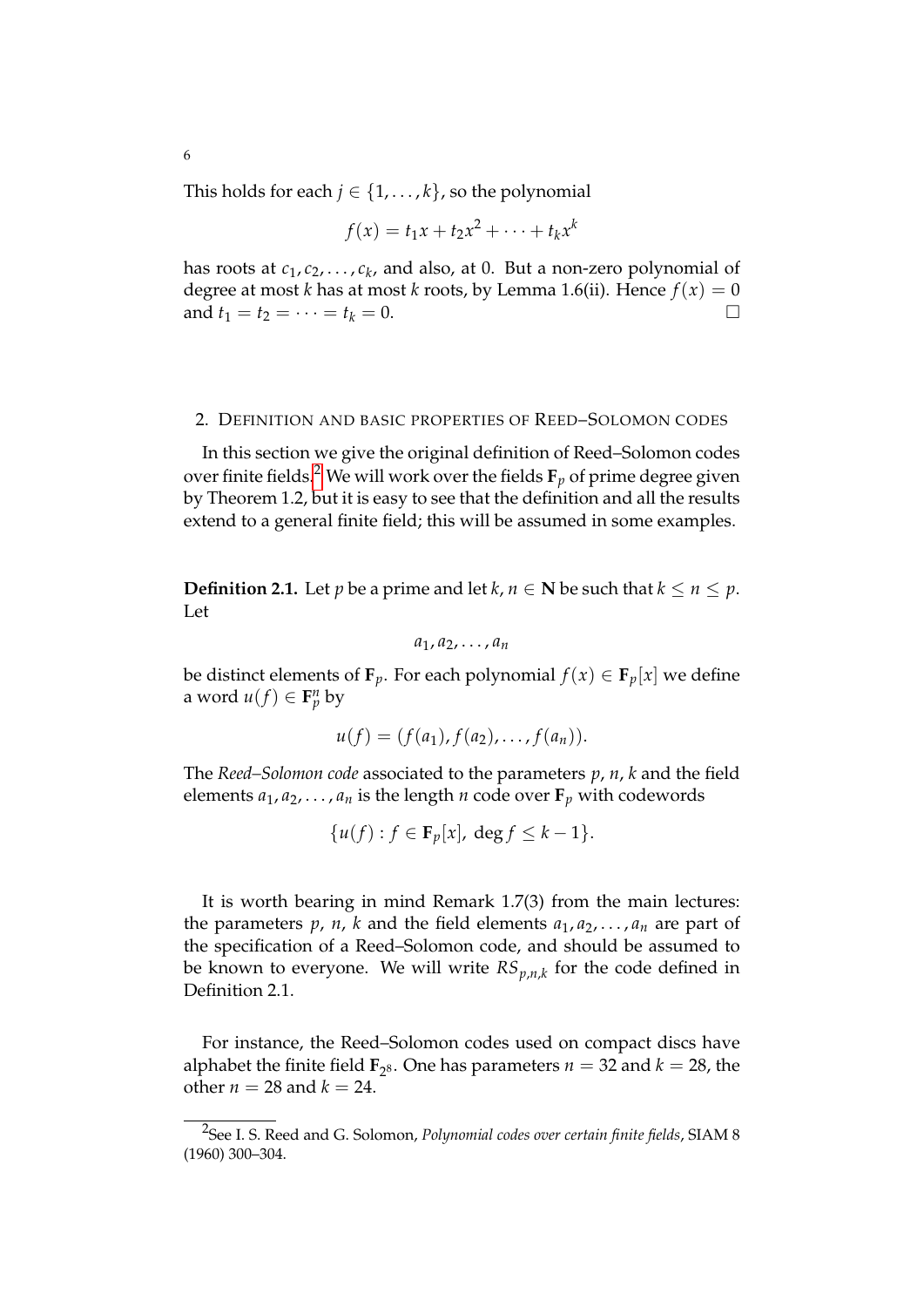This holds for each  $j \in \{1, \ldots, k\}$ , so the polynomial

6

$$
f(x) = t_1x + t_2x^2 + \cdots + t_kx^k
$$

has roots at *c*1, *c*2, . . . , *c<sup>k</sup>* , and also, at 0. But a non-zero polynomial of degree at most *k* has at most *k* roots, by Lemma 1.6(ii). Hence  $f(x) = 0$ and  $t_1 = t_2 = \cdots = t_k = 0.$ 

# 2. DEFINITION AND BASIC PROPERTIES OF REED–SOLOMON CODES

In this section we give the original definition of Reed–Solomon codes over finite fields.<sup>[2](#page-5-0)</sup> We will work over the fields  $\mathbf{F}_p$  of prime degree given by Theorem 1.2, but it is easy to see that the definition and all the results extend to a general finite field; this will be assumed in some examples.

**Definition 2.1.** Let *p* be a prime and let *k*, *n*  $\in$  **N** be such that  $k \le n \le p$ . Let

$$
a_1, a_2, \ldots, a_n
$$

be distinct elements of  $\mathbf{F}_p$ . For each polynomial  $f(x) \in \mathbf{F}_p[x]$  we define a word  $u(f) \in \mathbf{F}_p^n$  by

$$
u(f)=(f(a_1),f(a_2),\ldots,f(a_n)).
$$

The *Reed–Solomon code* associated to the parameters *p*, *n*, *k* and the field elements  $a_1, a_2, \ldots, a_n$  is the length *n* code over  $\mathbf{F}_p$  with codewords

$$
\{u(f) : f \in \mathbf{F}_p[x], \deg f \le k - 1\}.
$$

It is worth bearing in mind Remark 1.7(3) from the main lectures: the parameters  $p$ ,  $n$ ,  $k$  and the field elements  $a_1, a_2, \ldots, a_n$  are part of the specification of a Reed–Solomon code, and should be assumed to be known to everyone. We will write *RSp*,*n*,*<sup>k</sup>* for the code defined in Definition 2.1.

For instance, the Reed–Solomon codes used on compact discs have alphabet the finite field  $\mathbf{F}_{2^8}$ . One has parameters  $n = 32$  and  $k = 28$ , the other  $n = 28$  and  $k = 24$ .

<span id="page-5-0"></span><sup>2</sup> See I. S. Reed and G. Solomon, *Polynomial codes over certain finite fields*, SIAM 8 (1960) 300–304.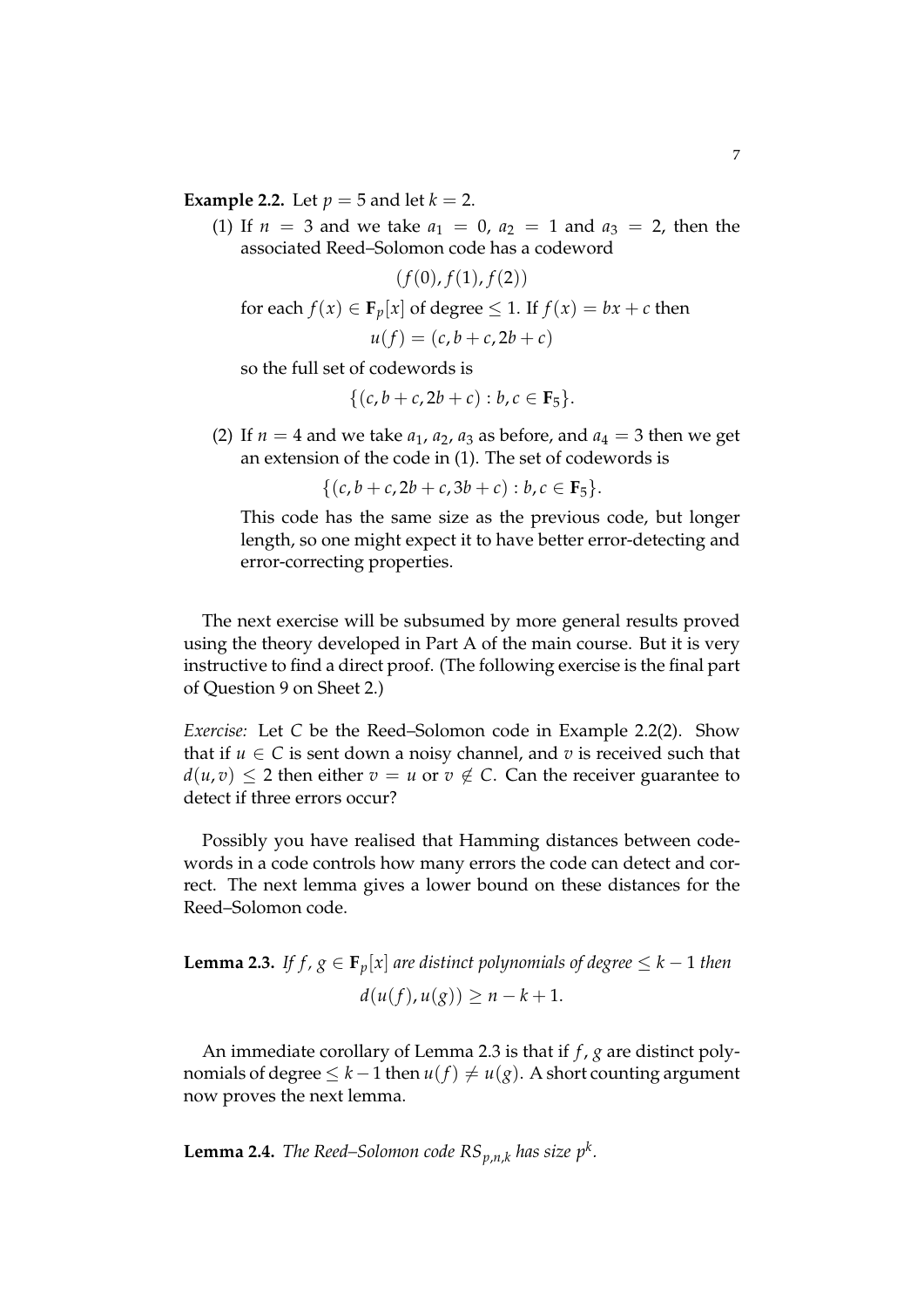**Example 2.2.** Let  $p = 5$  and let  $k = 2$ .

(1) If  $n = 3$  and we take  $a_1 = 0$ ,  $a_2 = 1$  and  $a_3 = 2$ , then the associated Reed–Solomon code has a codeword

 $(f(0), f(1), f(2))$ for each  $f(x) \in \mathbf{F}_p[x]$  of degree  $\leq 1$ . If  $f(x) = bx + c$  then  $u(f) = (c, b + c, 2b + c)$ 

so the full set of codewords is

$$
\{(c,b+c,2b+c):b,c\in\mathbf{F}_5\}.
$$

(2) If  $n = 4$  and we take  $a_1$ ,  $a_2$ ,  $a_3$  as before, and  $a_4 = 3$  then we get an extension of the code in (1). The set of codewords is

$$
\{(c, b+c, 2b+c, 3b+c): b, c \in \mathbf{F}_5\}.
$$

This code has the same size as the previous code, but longer length, so one might expect it to have better error-detecting and error-correcting properties.

The next exercise will be subsumed by more general results proved using the theory developed in Part A of the main course. But it is very instructive to find a direct proof. (The following exercise is the final part of Question 9 on Sheet 2.)

*Exercise:* Let *C* be the Reed–Solomon code in Example 2.2(2). Show that if  $u \in C$  is sent down a noisy channel, and  $v$  is received such that  $d(u, v) \leq 2$  then either  $v = u$  or  $v \notin C$ . Can the receiver guarantee to detect if three errors occur?

Possibly you have realised that Hamming distances between codewords in a code controls how many errors the code can detect and correct. The next lemma gives a lower bound on these distances for the Reed–Solomon code.

**Lemma 2.3.** *If f, g*  $\in$  **F**<sub>*p*</sub>[*x*] *are distinct polynomials of degree*  $\leq$  *k* − 1 *then*  $d(u(f), u(g)) > n - k + 1.$ 

An immediate corollary of Lemma 2.3 is that if *f* , *g* are distinct polynomials of degree  $\leq$  *k* − 1 then *u*(*f*)  $\neq$  *u*(*g*). A short counting argument now proves the next lemma.

**Lemma 2.4.** *The Reed–Solomon code*  $RS_{p,n,k}$  *has size*  $p^k$ *.*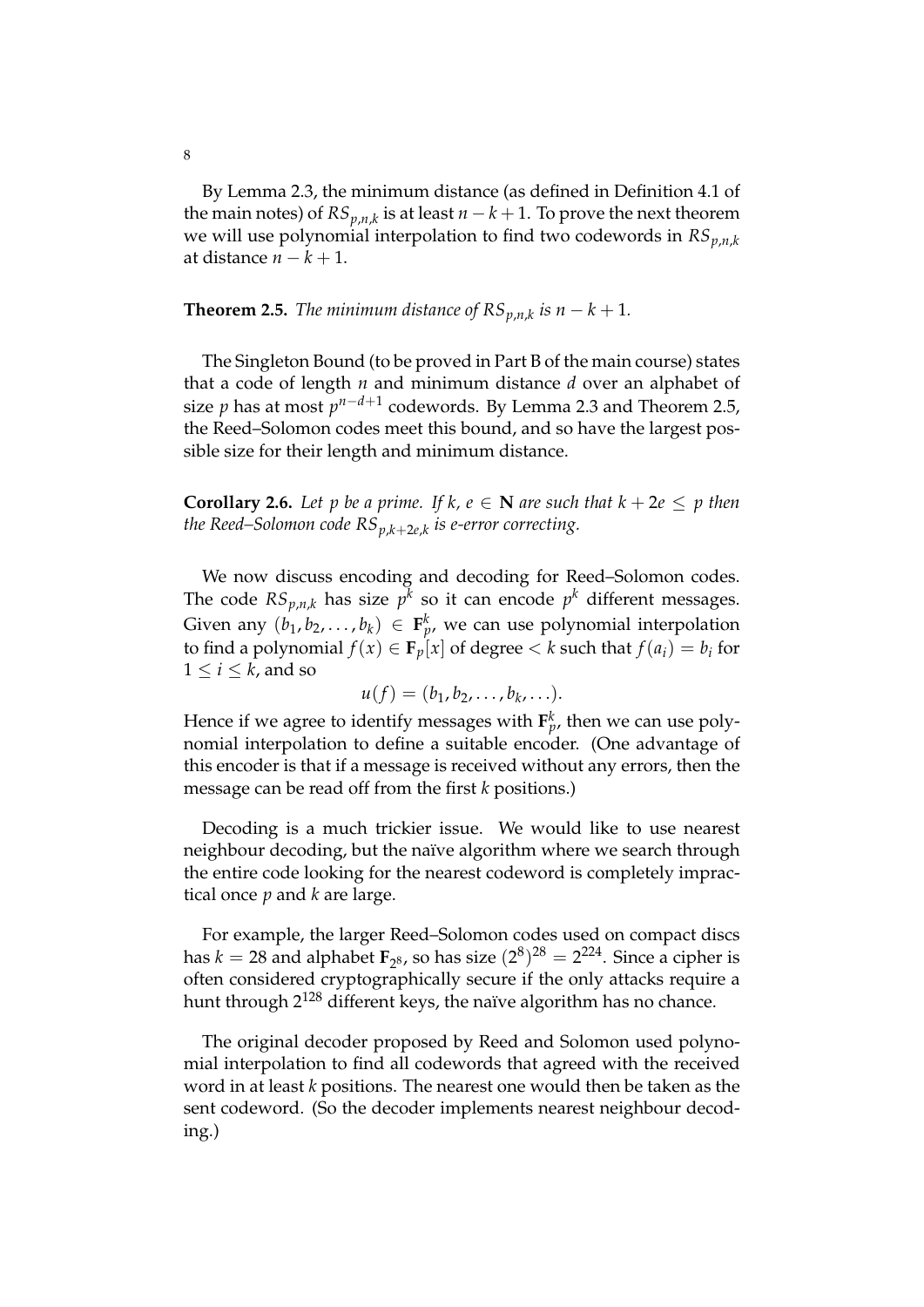By Lemma 2.3, the minimum distance (as defined in Definition 4.1 of the main notes) of  $RS_{p,n,k}$  is at least  $n-k+1.$  To prove the next theorem we will use polynomial interpolation to find two codewords in *RSp*,*n*,*<sup>k</sup>* at distance  $n - k + 1$ .

**Theorem 2.5.** *The minimum distance of*  $RS_{p,n,k}$  *is*  $n - k + 1$ *.* 

The Singleton Bound (to be proved in Part B of the main course) states that a code of length *n* and minimum distance *d* over an alphabet of size *p* has at most  $p^{n-d+1}$  codewords. By Lemma 2.3 and Theorem 2.5, the Reed–Solomon codes meet this bound, and so have the largest possible size for their length and minimum distance.

**Corollary 2.6.** Let p be a prime. If k,  $e \in \mathbb{N}$  are such that  $k + 2e \leq p$  then *the Reed–Solomon code RSp*,*k*+2*e*,*<sup>k</sup> is e-error correcting.*

We now discuss encoding and decoding for Reed–Solomon codes. The code  $RS_{p,n,k}$  has size  $p^k$  so it can encode  $p^k$  different messages. Given any  $(b_1, b_2, \ldots, b_k) \in \mathbf{F}_p^k$ , we can use polynomial interpolation to find a polynomial  $f(x) \in \mathbf{F}_p[x]$  of degree  $\lt k$  such that  $f(a_i) = b_i$  for  $1 \leq i \leq k$ , and so

$$
u(f)=(b_1,b_2,\ldots,b_k,\ldots).
$$

Hence if we agree to identify messages with  $\mathbf{F}^k_p$ , then we can use polynomial interpolation to define a suitable encoder. (One advantage of this encoder is that if a message is received without any errors, then the message can be read off from the first *k* positions.)

Decoding is a much trickier issue. We would like to use nearest neighbour decoding, but the naïve algorithm where we search through the entire code looking for the nearest codeword is completely impractical once *p* and *k* are large.

For example, the larger Reed–Solomon codes used on compact discs has  $k = 28$  and alphabet  $\mathbf{F}_{2^8}$ , so has size  $(2^8)^{28} = 2^{224}$ . Since a cipher is often considered cryptographically secure if the only attacks require a hunt through 2<sup>128</sup> different keys, the naïve algorithm has no chance.

The original decoder proposed by Reed and Solomon used polynomial interpolation to find all codewords that agreed with the received word in at least *k* positions. The nearest one would then be taken as the sent codeword. (So the decoder implements nearest neighbour decoding.)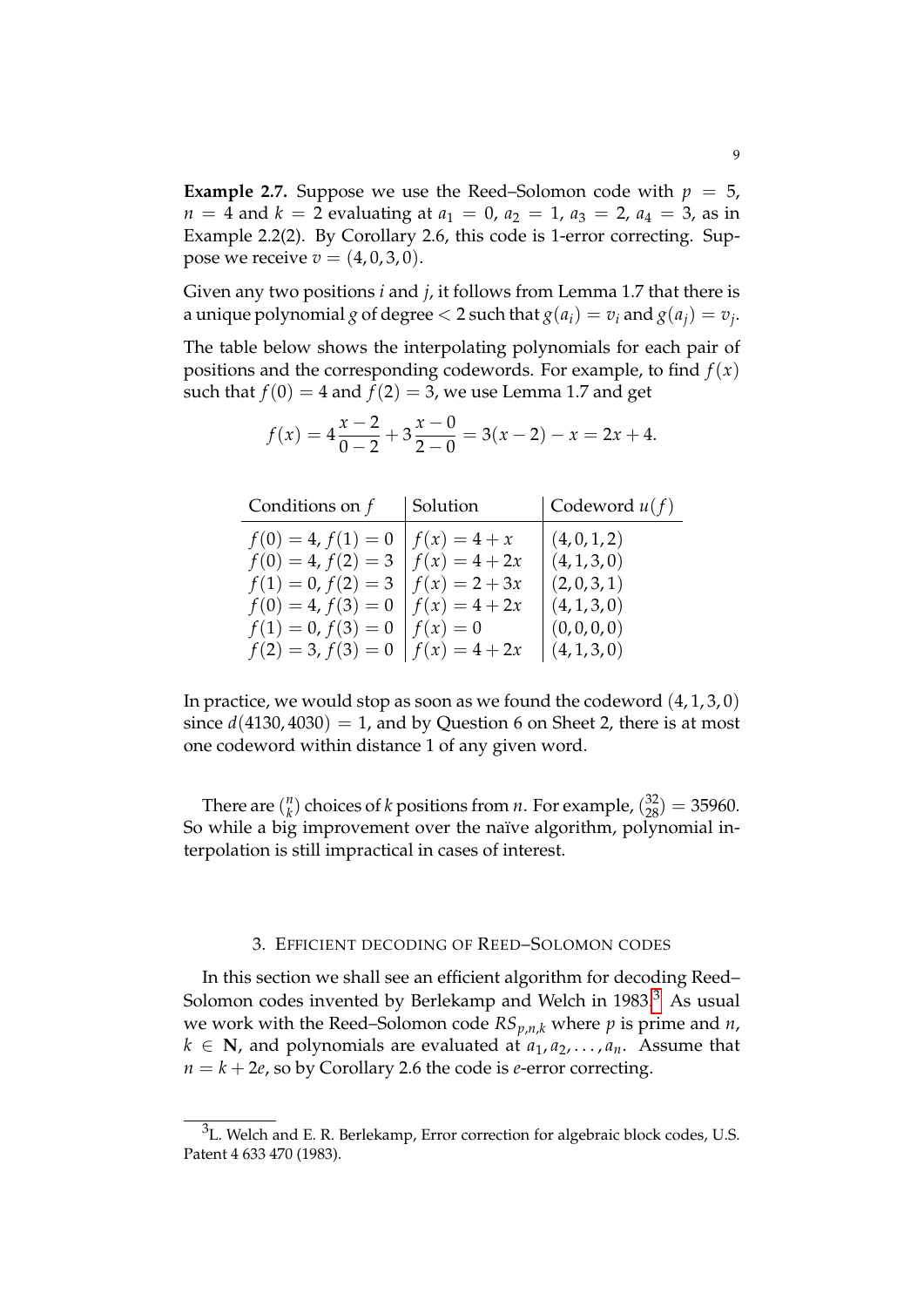**Example 2.7.** Suppose we use the Reed–Solomon code with  $p = 5$ ,  $n = 4$  and  $k = 2$  evaluating at  $a_1 = 0$ ,  $a_2 = 1$ ,  $a_3 = 2$ ,  $a_4 = 3$ , as in Example 2.2(2). By Corollary 2.6, this code is 1-error correcting. Suppose we receive  $v = (4, 0, 3, 0)$ .

Given any two positions *i* and *j*, it follows from Lemma 1.7 that there is a unique polynomial  $g$  of degree  $< 2$  such that  $g(a_i) = v_i$  and  $g(a_j) = v_j$ .

The table below shows the interpolating polynomials for each pair of positions and the corresponding codewords. For example, to find  $f(x)$ such that  $f(0) = 4$  and  $f(2) = 3$ , we use Lemma 1.7 and get

| Conditions on $f$    | Solution        | $\vert$ Codeword $u(f)$ |
|----------------------|-----------------|-------------------------|
| $f(0) = 4, f(1) = 0$ | $f(x) = 4 + x$  | (4,0,1,2)               |
| $f(0) = 4, f(2) = 3$ | $f(x) = 4 + 2x$ | (4,1,3,0)               |
| $f(1) = 0, f(2) = 3$ | $f(x) = 2 + 3x$ | (2,0,3,1)               |
| $f(0) = 4, f(3) = 0$ | $f(x) = 4 + 2x$ | (4, 1, 3, 0)            |
| $f(1) = 0, f(3) = 0$ | $f(x)=0$        | (0,0,0,0)               |
| $f(2) = 3, f(3) = 0$ | $f(x) = 4 + 2x$ | (4,1,3,0)               |

$$
f(x) = 4\frac{x-2}{0-2} + 3\frac{x-0}{2-0} = 3(x-2) - x = 2x + 4.
$$

In practice, we would stop as soon as we found the codeword  $(4, 1, 3, 0)$ since  $d(4130, 4030) = 1$ , and by Question 6 on Sheet 2, there is at most one codeword within distance 1 of any given word.

There are  $\binom{n}{k}$  $\binom{n}{k}$  choices of *k* positions from *n*. For example,  $\binom{32}{28} = 35960$ . So while a big improvement over the naïve algorithm, polynomial interpolation is still impractical in cases of interest.

### 3. EFFICIENT DECODING OF REED–SOLOMON CODES

In this section we shall see an efficient algorithm for decoding Reed– Solomon codes invented by Berlekamp and Welch in  $1983<sup>3</sup>$  $1983<sup>3</sup>$  $1983<sup>3</sup>$  As usual we work with the Reed–Solomon code  $RS_{p,n,k}$  where  $p$  is prime and  $n$ ,  $k \in \mathbb{N}$ , and polynomials are evaluated at  $a_1, a_2, \ldots, a_n$ . Assume that  $n = k + 2e$ , so by Corollary 2.6 the code is *e*-error correcting.

<span id="page-8-0"></span><sup>&</sup>lt;sup>3</sup>L. Welch and E. R. Berlekamp, Error correction for algebraic block codes, U.S. Patent 4 633 470 (1983).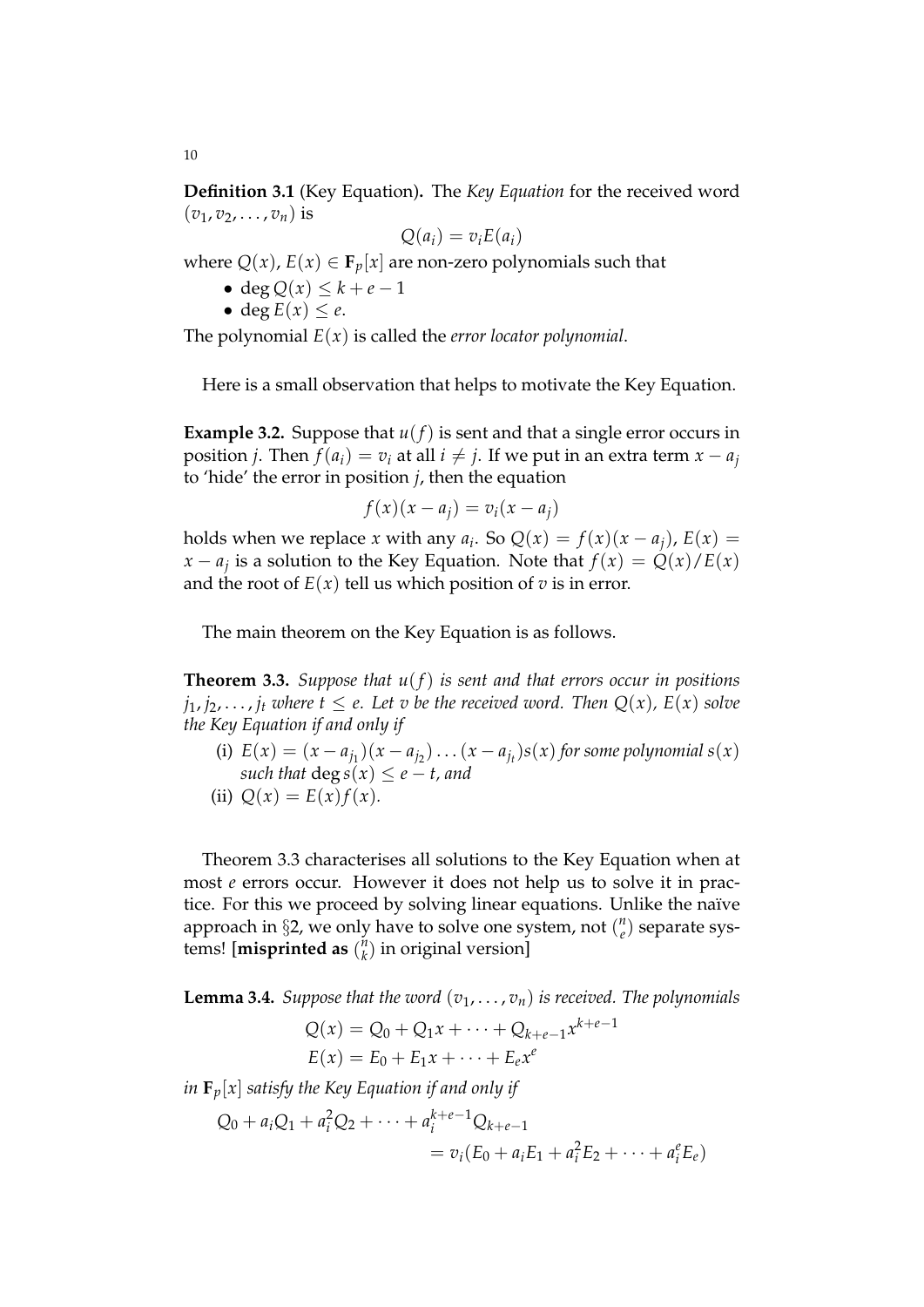**Definition 3.1** (Key Equation)**.** The *Key Equation* for the received word  $(v_1, v_2, \ldots, v_n)$  is

$$
Q(a_i) = v_i E(a_i)
$$

where  $Q(x)$ ,  $E(x) \in \mathbf{F}_p[x]$  are non-zero polynomials such that

- deg  $Q(x) \leq k + e 1$
- deg  $E(x) \leq e$ .

The polynomial *E*(*x*) is called the *error locator polynomial*.

Here is a small observation that helps to motivate the Key Equation.

**Example 3.2.** Suppose that  $u(f)$  is sent and that a single error occurs in position *j*. Then  $f(a_i) = v_i$  at all  $i \neq j$ . If we put in an extra term  $x - a_i$ to 'hide' the error in position *j*, then the equation

$$
f(x)(x - a_j) = v_i(x - a_j)
$$

holds when we replace *x* with any  $a_i$ . So  $Q(x) = f(x)(x - a_j)$ ,  $E(x) =$ *x* − *a*<sub>*j*</sub> is a solution to the Key Equation. Note that  $f(x) = Q(x)/E(x)$ and the root of  $E(x)$  tell us which position of *v* is in error.

The main theorem on the Key Equation is as follows.

**Theorem 3.3.** *Suppose that u*(*f*) *is sent and that errors occur in positions*  $j_1, j_2, \ldots, j_t$  *where*  $t \le e$ *. Let v be the received word. Then*  $Q(x)$ *, E(x) solve the Key Equation if and only if*

- (i)  $E(x) = (x a_{j_1})(x a_{j_2}) \dots (x a_{j_t})s(x)$  for some polynomial  $s(x)$ *such that* deg  $s(x) \leq e - t$ , and
- (ii)  $Q(x) = E(x) f(x)$ .

Theorem 3.3 characterises all solutions to the Key Equation when at most *e* errors occur. However it does not help us to solve it in practice. For this we proceed by solving linear equations. Unlike the naïve approach in §2, we only have to solve one system, not ( *n e* ) separate systems! [**misprinted as** ( *n*  $\binom{n}{k}$  in original version]

**Lemma 3.4.** *Suppose that the word*  $(v_1, \ldots, v_n)$  *is received. The polynomials* 

$$
Q(x) = Q_0 + Q_1 x + \dots + Q_{k+e-1} x^{k+e-1}
$$
  

$$
E(x) = E_0 + E_1 x + \dots + E_e x^e
$$

*in*  $\mathbf{F}_p[x]$  *satisfy the Key Equation if and only if* 

$$
Q_0 + a_i Q_1 + a_i^2 Q_2 + \dots + a_i^{k+e-1} Q_{k+e-1}
$$
  
=  $v_i (E_0 + a_i E_1 + a_i^2 E_2 + \dots + a_i^e E_e)$ 

10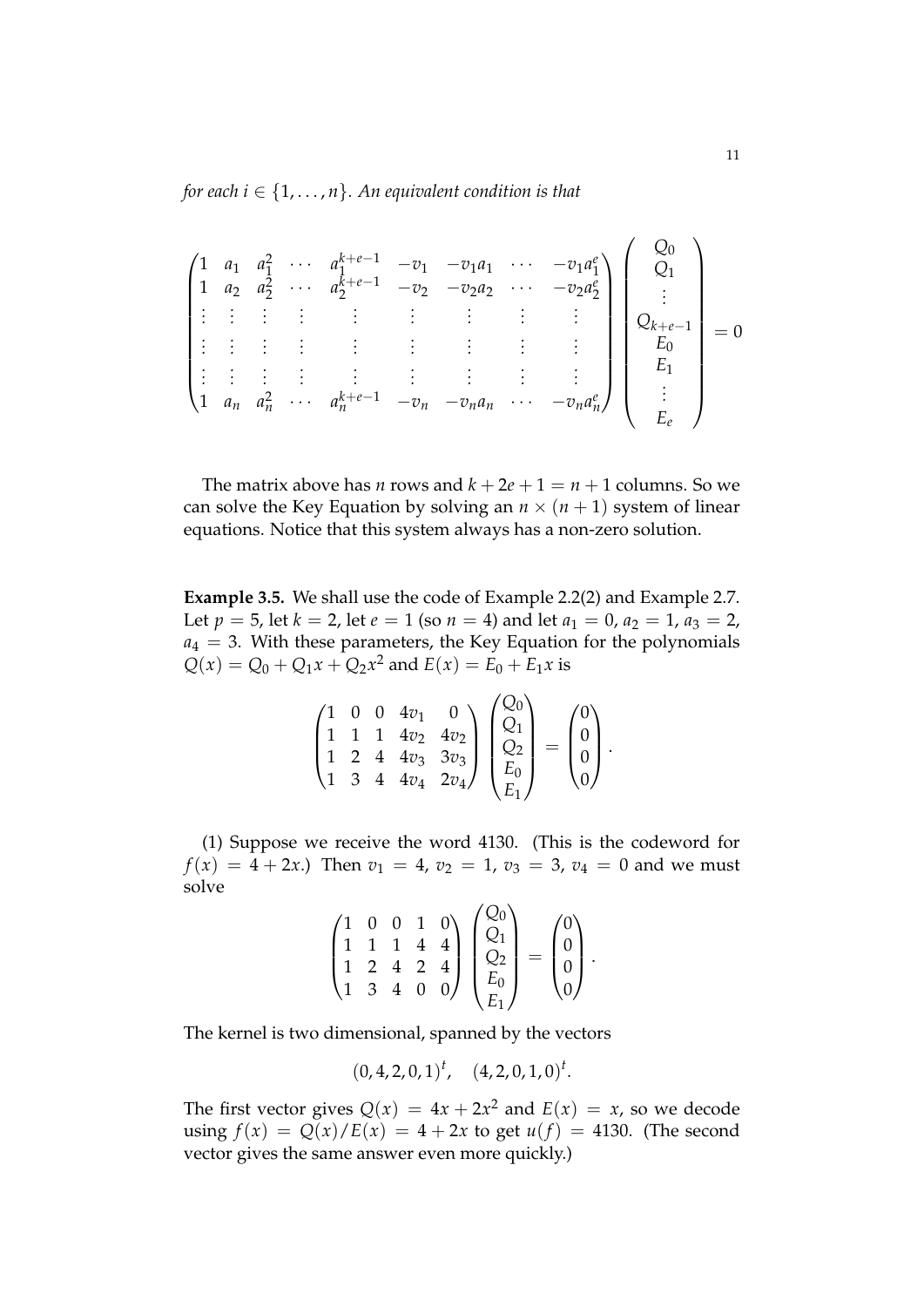*for each i*  $\in$  {1, ..., *n*}. An equivalent condition is that

$$
\begin{pmatrix}\n1 & a_1 & a_1^2 & \cdots & a_1^{k+e-1} & -v_1 & -v_1a_1 & \cdots & -v_1a_1^e \\
1 & a_2 & a_2^2 & \cdots & a_2^{k+e-1} & -v_2 & -v_2a_2 & \cdots & -v_2a_2^e \\
\vdots & \vdots & \vdots & \vdots & \vdots & \vdots & \vdots & \vdots \\
\vdots & \vdots & \vdots & \vdots & \vdots & \vdots & \vdots & \vdots \\
1 & a_n & a_n^2 & \cdots & a_n^{k+e-1} & -v_n & -v_na_n & \cdots & -v_na_n^e\n\end{pmatrix}\n\begin{pmatrix}\nQ_0 \\
Q_1 \\
\vdots \\
Q_{k+e-1} \\
E_0 \\
E_1 \\
E_2\n\end{pmatrix} = 0
$$

The matrix above has *n* rows and  $k + 2e + 1 = n + 1$  columns. So we can solve the Key Equation by solving an  $n \times (n + 1)$  system of linear equations. Notice that this system always has a non-zero solution.

**Example 3.5.** We shall use the code of Example 2.2(2) and Example 2.7. Let  $p = 5$ , let  $k = 2$ , let  $e = 1$  (so  $n = 4$ ) and let  $a_1 = 0$ ,  $a_2 = 1$ ,  $a_3 = 2$ ,  $a_4 = 3$ . With these parameters, the Key Equation for the polynomials  $Q(x) = Q_0 + Q_1x + Q_2x^2$  and  $E(x) = E_0 + E_1x$  is

$$
\begin{pmatrix} 1 & 0 & 0 & 4v_1 & 0 \\ 1 & 1 & 1 & 4v_2 & 4v_2 \\ 1 & 2 & 4 & 4v_3 & 3v_3 \\ 1 & 3 & 4 & 4v_4 & 2v_4 \end{pmatrix} \begin{pmatrix} Q_0 \\ Q_1 \\ Q_2 \\ E_0 \\ E_1 \end{pmatrix} = \begin{pmatrix} 0 \\ 0 \\ 0 \\ 0 \end{pmatrix}.
$$

(1) Suppose we receive the word 4130. (This is the codeword for  $f(x) = 4 + 2x$ .) Then  $v_1 = 4$ ,  $v_2 = 1$ ,  $v_3 = 3$ ,  $v_4 = 0$  and we must solve

$$
\begin{pmatrix} 1 & 0 & 0 & 1 & 0 \\ 1 & 1 & 1 & 4 & 4 \\ 1 & 2 & 4 & 2 & 4 \\ 1 & 3 & 4 & 0 & 0 \end{pmatrix} \begin{pmatrix} Q_0 \\ Q_1 \\ Q_2 \\ E_0 \\ E_1 \end{pmatrix} = \begin{pmatrix} 0 \\ 0 \\ 0 \\ 0 \end{pmatrix}.
$$

The kernel is two dimensional, spanned by the vectors

$$
(0, 4, 2, 0, 1)t
$$
,  $(4, 2, 0, 1, 0)t$ .

The first vector gives  $Q(x) = 4x + 2x^2$  and  $E(x) = x$ , so we decode using  $f(x) = Q(x)/E(x) = 4 + 2x$  to get  $u(f) = 4130$ . (The second vector gives the same answer even more quickly.)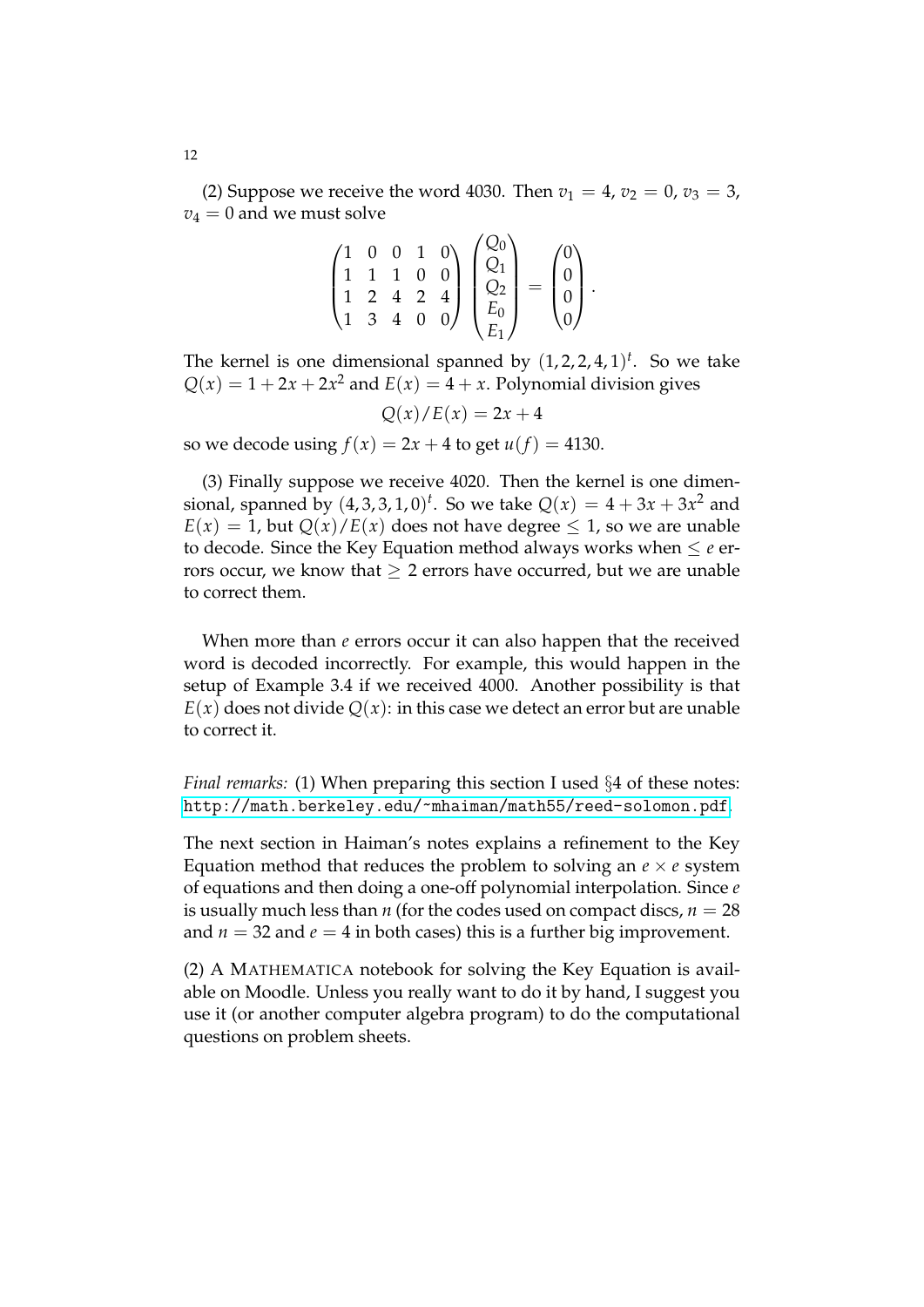(2) Suppose we receive the word 4030. Then  $v_1 = 4$ ,  $v_2 = 0$ ,  $v_3 = 3$ ,  $v_4 = 0$  and we must solve

$$
\begin{pmatrix} 1 & 0 & 0 & 1 & 0 \\ 1 & 1 & 1 & 0 & 0 \\ 1 & 2 & 4 & 2 & 4 \\ 1 & 3 & 4 & 0 & 0 \end{pmatrix} \begin{pmatrix} Q_0 \\ Q_1 \\ Q_2 \\ E_0 \\ E_1 \end{pmatrix} = \begin{pmatrix} 0 \\ 0 \\ 0 \\ 0 \end{pmatrix}.
$$

The kernel is one dimensional spanned by  $(1, 2, 2, 4, 1)$ <sup>t</sup>. So we take  $Q(x) = 1 + 2x + 2x^2$  and  $E(x) = 4 + x$ . Polynomial division gives

 $Q(x)/E(x) = 2x + 4$ 

so we decode using  $f(x) = 2x + 4$  to get  $u(f) = 4130$ .

(3) Finally suppose we receive 4020. Then the kernel is one dimensional, spanned by  $(4, 3, 3, 1, 0)^t$ . So we take  $Q(x) = 4 + 3x + 3x^2$  and  $E(x) = 1$ , but  $Q(x)/E(x)$  does not have degree  $\leq 1$ , so we are unable to decode. Since the Key Equation method always works when  $\leq e$  errors occur, we know that  $> 2$  errors have occurred, but we are unable to correct them.

When more than *e* errors occur it can also happen that the received word is decoded incorrectly. For example, this would happen in the setup of Example 3.4 if we received 4000. Another possibility is that  $E(x)$  does not divide  $Q(x)$ : in this case we detect an error but are unable to correct it.

*Final remarks:* (1) When preparing this section I used §4 of these notes: <http://math.berkeley.edu/~mhaiman/math55/reed-solomon.pdf>.

The next section in Haiman's notes explains a refinement to the Key Equation method that reduces the problem to solving an  $e \times e$  system of equations and then doing a one-off polynomial interpolation. Since *e* is usually much less than *n* (for the codes used on compact discs,  $n = 28$ and  $n = 32$  and  $e = 4$  in both cases) this is a further big improvement.

(2) A MATHEMATICA notebook for solving the Key Equation is available on Moodle. Unless you really want to do it by hand, I suggest you use it (or another computer algebra program) to do the computational questions on problem sheets.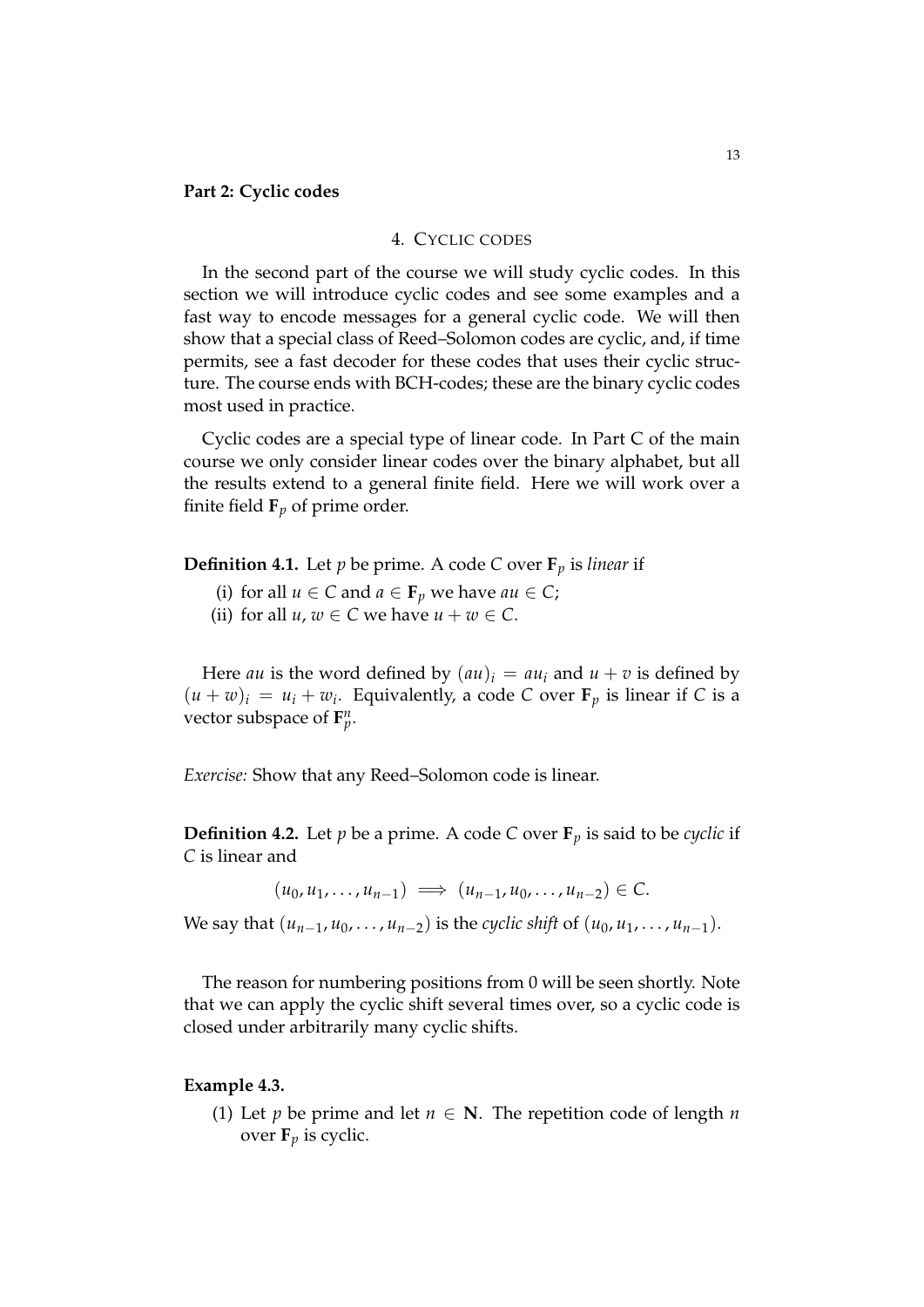### **Part 2: Cyclic codes**

#### 4. CYCLIC CODES

In the second part of the course we will study cyclic codes. In this section we will introduce cyclic codes and see some examples and a fast way to encode messages for a general cyclic code. We will then show that a special class of Reed–Solomon codes are cyclic, and, if time permits, see a fast decoder for these codes that uses their cyclic structure. The course ends with BCH-codes; these are the binary cyclic codes most used in practice.

Cyclic codes are a special type of linear code. In Part C of the main course we only consider linear codes over the binary alphabet, but all the results extend to a general finite field. Here we will work over a finite field  $\mathbf{F}_p$  of prime order.

**Definition 4.1.** Let *p* be prime. A code *C* over  $\mathbf{F}_p$  is *linear* if

- (i) for all  $u \in C$  and  $a \in \mathbf{F}_p$  we have  $au \in C$ ;
- (ii) for all  $u, w \in C$  we have  $u + w \in C$ .

Here *au* is the word defined by  $(au)_i = au_i$  and  $u + v$  is defined by  $(u + w)_i = u_i + w_i$ . Equivalently, a code *C* over **F**<sub>*p*</sub> is linear if *C* is a vector subspace of  $\mathbf{F}_{p}^{n}$ .

*Exercise:* Show that any Reed–Solomon code is linear.

**Definition 4.2.** Let *p* be a prime. A code *C* over  $\mathbf{F}_p$  is said to be *cyclic* if *C* is linear and

 $(u_0, u_1, \ldots, u_{n-1}) \implies (u_{n-1}, u_0, \ldots, u_{n-2}) \in \mathbb{C}.$ 

We say that  $(u_{n-1}, u_0, \ldots, u_{n-2})$  is the *cyclic shift* of  $(u_0, u_1, \ldots, u_{n-1})$ .

The reason for numbering positions from 0 will be seen shortly. Note that we can apply the cyclic shift several times over, so a cyclic code is closed under arbitrarily many cyclic shifts.

#### **Example 4.3.**

(1) Let *p* be prime and let  $n \in \mathbb{N}$ . The repetition code of length *n* over  $\mathbf{F}_p$  is cyclic.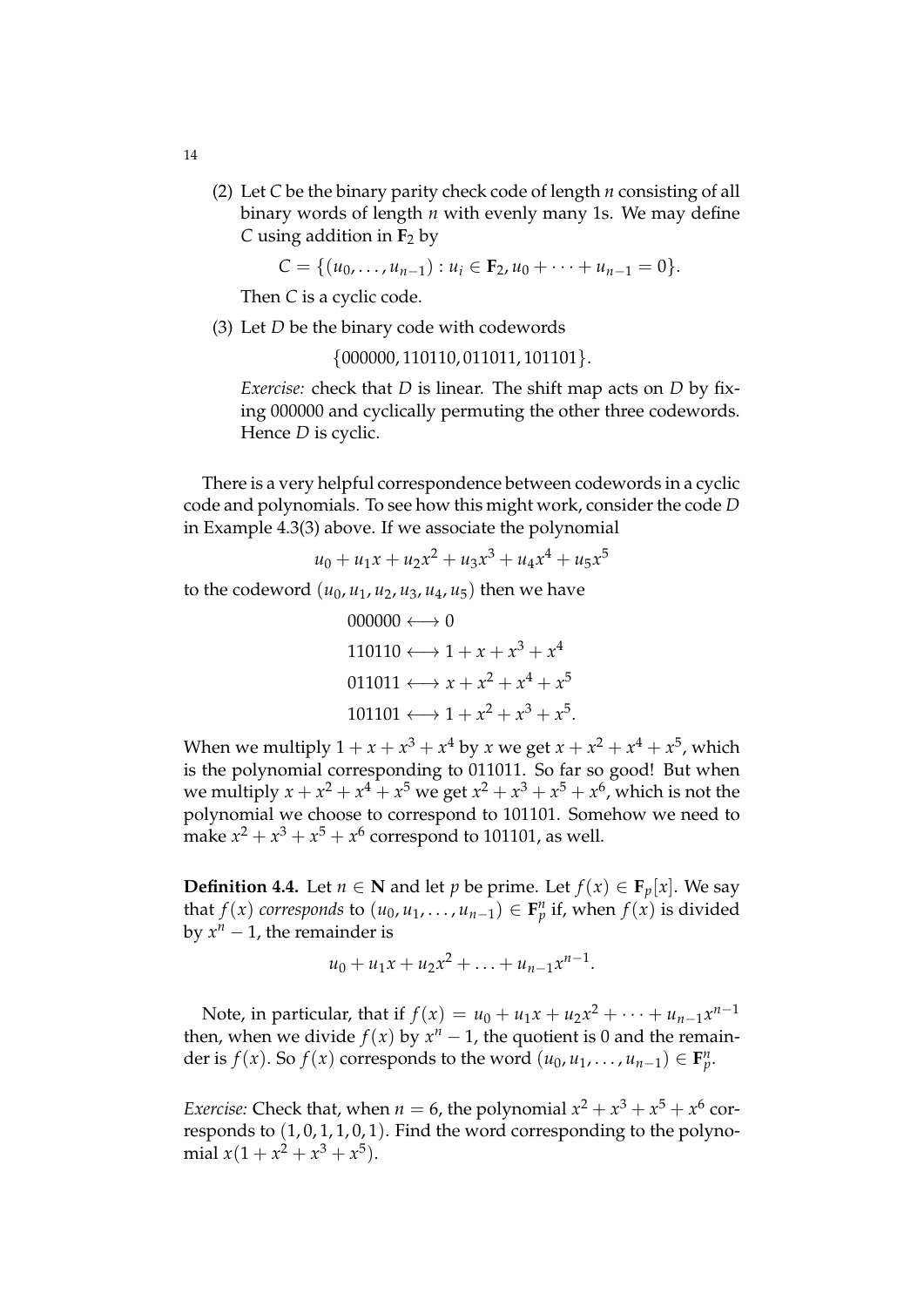(2) Let *C* be the binary parity check code of length *n* consisting of all binary words of length *n* with evenly many 1s. We may define *C* using addition in  $\mathbf{F}_2$  by

 $C = \{(u_0, \ldots, u_{n-1}) : u_i \in \mathbf{F}_2, u_0 + \cdots + u_{n-1} = 0\}.$ 

Then *C* is a cyclic code.

(3) Let *D* be the binary code with codewords

{000000, 110110, 011011, 101101}.

*Exercise:* check that *D* is linear. The shift map acts on *D* by fixing 000000 and cyclically permuting the other three codewords. Hence *D* is cyclic.

There is a very helpful correspondence between codewords in a cyclic code and polynomials. To see how this might work, consider the code *D* in Example 4.3(3) above. If we associate the polynomial

$$
u_0 + u_1 x + u_2 x^2 + u_3 x^3 + u_4 x^4 + u_5 x^5
$$

to the codeword  $(u_0, u_1, u_2, u_3, u_4, u_5)$  then we have

$$
000000 \longleftrightarrow 0
$$
  
110110  $\longleftrightarrow$  1 + x + x<sup>3</sup> + x<sup>4</sup>  
011011  $\longleftrightarrow$  x + x<sup>2</sup> + x<sup>4</sup> + x<sup>5</sup>  
101101  $\longleftrightarrow$  1 + x<sup>2</sup> + x<sup>3</sup> + x<sup>5</sup>.

When we multiply  $1 + x + x^3 + x^4$  by *x* we get  $x + x^2 + x^4 + x^5$ , which is the polynomial corresponding to 011011. So far so good! But when we multiply  $x + x^2 + x^4 + x^5$  we get  $x^2 + x^3 + x^5 + x^6$ , which is not the polynomial we choose to correspond to 101101. Somehow we need to make  $x^2 + x^3 + x^5 + x^6$  correspond to 101101, as well.

**Definition 4.4.** Let *n* ∈ **N** and let *p* be prime. Let *f*(*x*) ∈ **F**<sub>*p*</sub>[*x*]. We say that  $f(x)$  corresponds to  $(u_0, u_1, \ldots, u_{n-1}) \in \mathbf{F}_p^n$  if, when  $f(x)$  is divided by  $x^n - 1$ , the remainder is

$$
u_0 + u_1 x + u_2 x^2 + \ldots + u_{n-1} x^{n-1}.
$$

Note, in particular, that if  $f(x) = u_0 + u_1x + u_2x^2 + \cdots + u_{n-1}x^{n-1}$ then, when we divide  $f(x)$  by  $x^n - 1$ , the quotient is 0 and the remainder is *f*(*x*). So *f*(*x*) corresponds to the word  $(u_0, u_1, \ldots, u_{n-1}) \in \mathbf{F}_p^n$ .

*Exercise:* Check that, when  $n = 6$ , the polynomial  $x^2 + x^3 + x^5 + x^6$  corresponds to  $(1, 0, 1, 1, 0, 1)$ . Find the word corresponding to the polynomial  $x(1 + x^2 + x^3 + x^5)$ .

14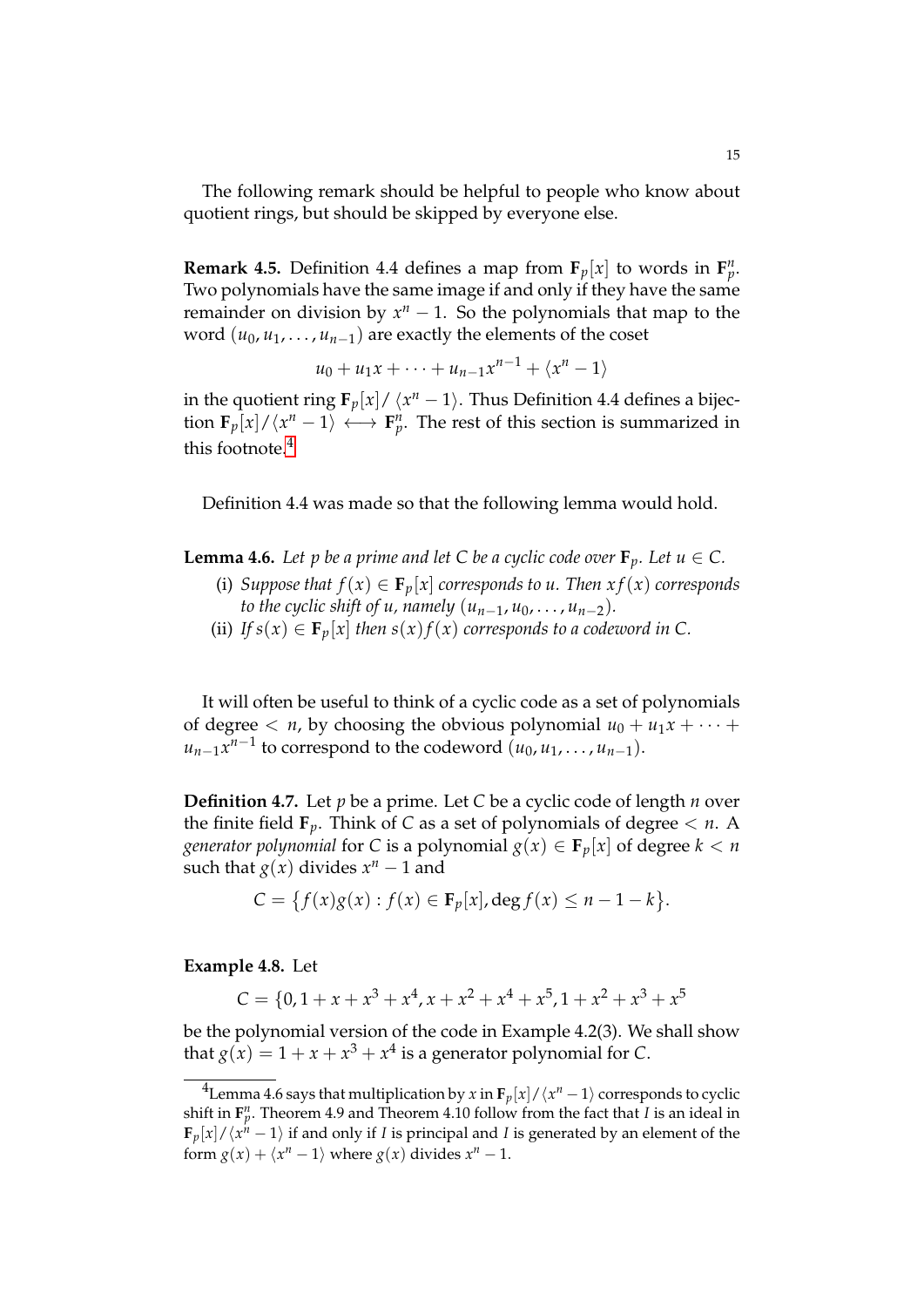The following remark should be helpful to people who know about quotient rings, but should be skipped by everyone else.

**Remark 4.5.** Definition 4.4 defines a map from  $\mathbf{F}_p[x]$  to words in  $\mathbf{F}_p^n$ . Two polynomials have the same image if and only if they have the same remainder on division by  $x^n - 1$ . So the polynomials that map to the word  $(u_0, u_1, \ldots, u_{n-1})$  are exactly the elements of the coset

$$
u_0 + u_1 x + \dots + u_{n-1} x^{n-1} + \langle x^n - 1 \rangle
$$

in the quotient ring  $\mathbf{F}_p[x]/\left\langle x^n-1 \right\rangle$ . Thus Definition 4.4 defines a bijection  $\mathbf{F}_p[x]/\langle x^n-1\rangle \longleftrightarrow \mathbf{F}_p^n$ . The rest of this section is summarized in this footnote. $4$ 

Definition 4.4 was made so that the following lemma would hold.

**Lemma 4.6.** *Let p be a prime and let C be a cyclic code over*  $\mathbf{F}_p$ *. Let*  $u \in C$ *.* 

- (i) *Suppose that*  $f(x) \in \mathbf{F}_p[x]$  *corresponds to u. Then*  $xf(x)$  *corresponds to the cyclic shift of u, namely*  $(u_{n-1}, u_0, \ldots, u_{n-2})$ .
- (ii) *If*  $s(x) \in \mathbf{F}_p[x]$  *then*  $s(x)f(x)$  *corresponds to a codeword in* C.

It will often be useful to think of a cyclic code as a set of polynomials of degree  $\langle n, y \rangle$  choosing the obvious polynomial  $u_0 + u_1 x + \cdots$  $u_{n-1}x^{n-1}$  to correspond to the codeword  $(u_0, u_1, \ldots, u_{n-1})$ .

**Definition 4.7.** Let *p* be a prime. Let *C* be a cyclic code of length *n* over the finite field  $\mathbf{F}_p$ . Think of *C* as a set of polynomials of degree  $\lt n$ . A *generator polynomial* for *C* is a polynomial  $g(x) \in \mathbf{F}_p[x]$  of degree  $k < n$ such that  $g(x)$  divides  $x^n - 1$  and

$$
C = \{f(x)g(x) : f(x) \in \mathbf{F}_p[x], \deg f(x) \le n - 1 - k\}.
$$

### **Example 4.8.** Let

$$
C = \{0, 1 + x + x^3 + x^4, x + x^2 + x^4 + x^5, 1 + x^2 + x^3 + x^5
$$

be the polynomial version of the code in Example 4.2(3). We shall show that  $g(x) = 1 + x + x^3 + x^4$  is a generator polynomial for *C*.

<span id="page-14-0"></span> $^4$ Lemma 4.6 says that multiplication by *x* in  $\mathbf{F}_p[x]/\langle x^n-1\rangle$  corresponds to cyclic shift in  $\mathbf{F}_p^n$ . Theorem 4.9 and Theorem 4.10 follow from the fact that *I* is an ideal in  $\mathbf{F}_p[x]/\langle x^h - 1 \rangle$  if and only if *I* is principal and *I* is generated by an element of the form  $g(x) + \langle x^n - 1 \rangle$  where  $g(x)$  divides  $x^n - 1$ .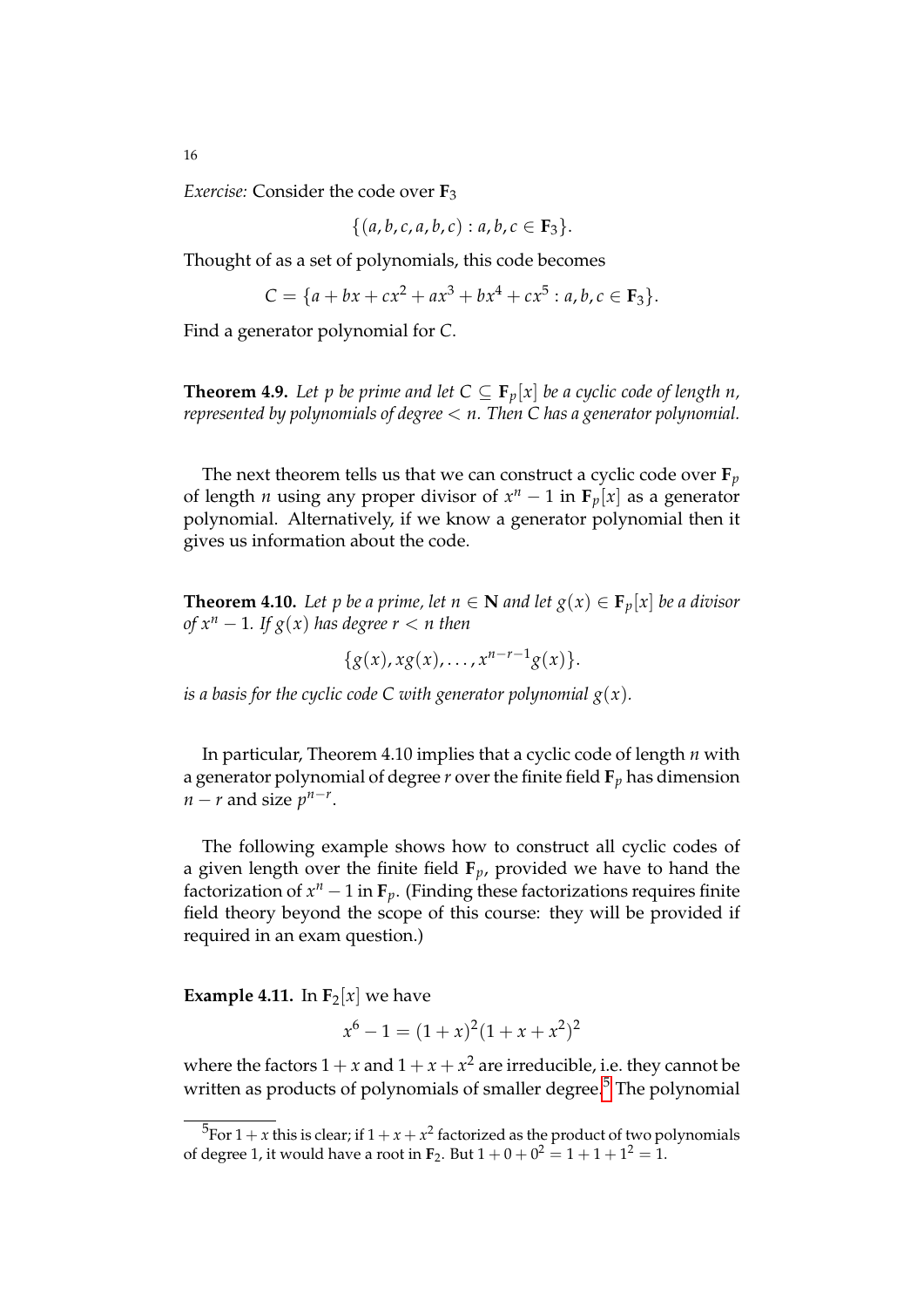*Exercise:* Consider the code over **F**<sup>3</sup>

$$
\{(a,b,c,a,b,c): a,b,c \in \mathbf{F}_3\}.
$$

Thought of as a set of polynomials, this code becomes

$$
C = \{a + bx + cx^{2} + ax^{3} + bx^{4} + cx^{5} : a, b, c \in \mathbf{F}_{3}\}.
$$

Find a generator polynomial for *C*.

**Theorem 4.9.** Let p be prime and let  $C \subseteq \mathbf{F}_p[x]$  be a cyclic code of length n, *represented by polynomials of degree* < *n. Then C has a generator polynomial.*

The next theorem tells us that we can construct a cyclic code over  $\mathbf{F}_p$ of length *n* using any proper divisor of  $x^n - 1$  in  $\mathbf{F}_p[x]$  as a generator polynomial. Alternatively, if we know a generator polynomial then it gives us information about the code.

**Theorem 4.10.** Let p be a prime, let  $n \in \mathbb{N}$  and let  $g(x) \in \mathbb{F}_p[x]$  be a divisor *of*  $x^n - 1$ *. If*  $g(x)$  *has degree*  $r < n$  *then* 

 ${g(x), xg(x), \ldots, x^{n-r-1}g(x)}.$ 

*is a basis for the cyclic code C with generator polynomial*  $g(x)$ *.* 

In particular, Theorem 4.10 implies that a cyclic code of length *n* with a generator polynomial of degree *r* over the finite field **F***<sup>p</sup>* has dimension  $n - r$  and size  $p^{n-r}$ .

The following example shows how to construct all cyclic codes of a given length over the finite field **F***p*, provided we have to hand the factorization of  $x^n - 1$  in  $\mathbf{F}_p$ . (Finding these factorizations requires finite field theory beyond the scope of this course: they will be provided if required in an exam question.)

**Example 4.11.** In  $\mathbf{F}_2[x]$  we have

$$
x^6 - 1 = (1 + x)^2 (1 + x + x^2)^2
$$

where the factors  $1 + x$  and  $1 + x + x^2$  are irreducible, i.e. they cannot be written as products of polynomials of smaller degree.<sup>[5](#page-15-0)</sup> The polynomial

<span id="page-15-0"></span> $^{5}$ For 1 + *x* this is clear; if 1 + *x* + *x*<sup>2</sup> factorized as the product of two polynomials of degree 1, it would have a root in  $\mathbf{F}_2$ . But  $1 + 0 + 0^2 = 1 + 1 + 1^2 = 1$ .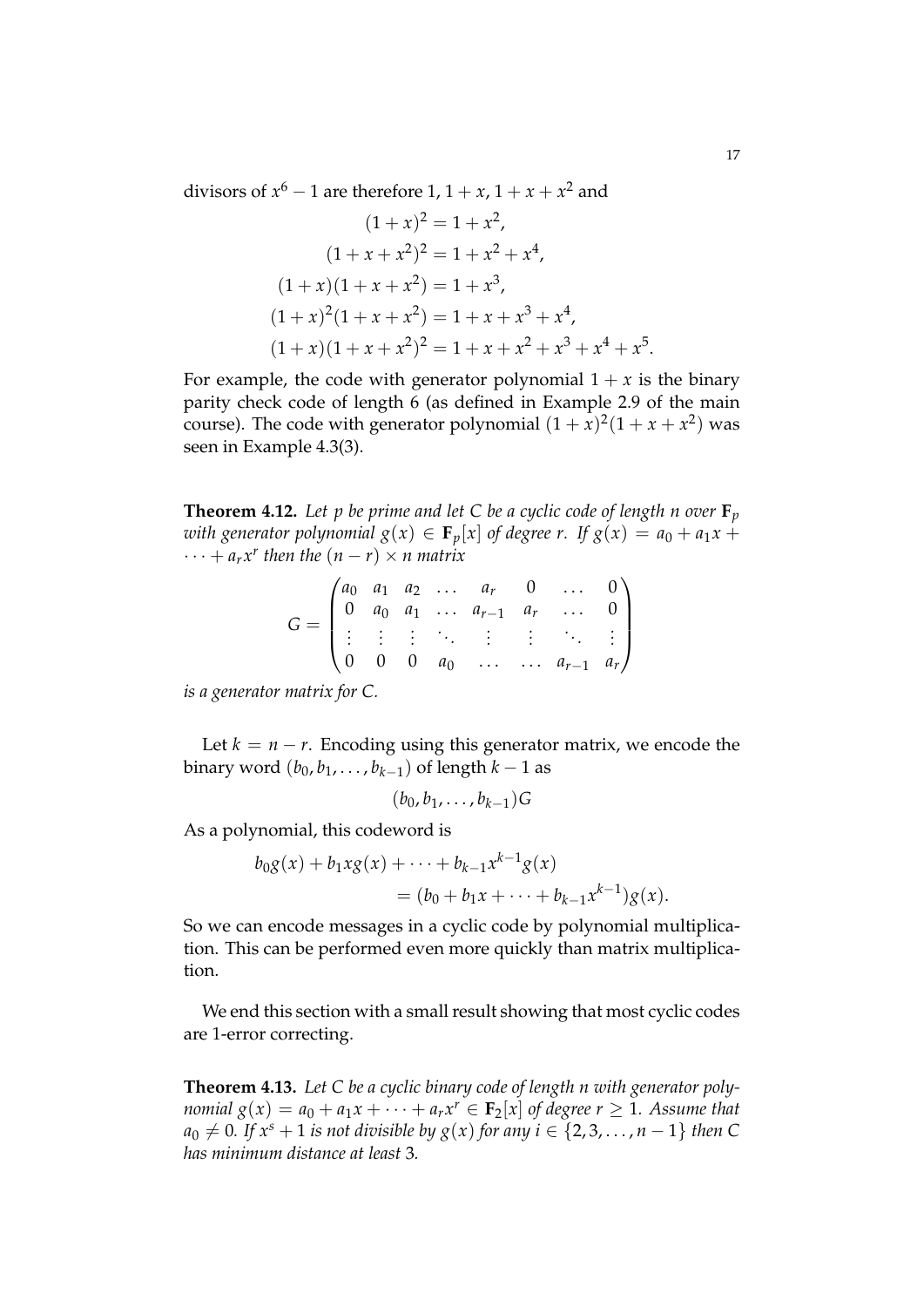divisors of  $x^6 - 1$  are therefore 1,  $1 + x$ ,  $1 + x + x^2$  and

$$
(1+x)^2 = 1 + x^2,
$$
  
\n
$$
(1+x+x^2)^2 = 1 + x^2 + x^4,
$$
  
\n
$$
(1+x)(1+x+x^2) = 1 + x^3,
$$
  
\n
$$
(1+x)^2(1+x+x^2) = 1 + x + x^3 + x^4,
$$
  
\n
$$
(1+x)(1+x+x^2)^2 = 1 + x + x^2 + x^3 + x^4 + x^5.
$$

For example, the code with generator polynomial  $1 + x$  is the binary parity check code of length 6 (as defined in Example 2.9 of the main course). The code with generator polynomial  $(1 + x)^2(1 + x + x^2)$  was seen in Example 4.3(3).

**Theorem 4.12.** Let p be prime and let C be a cyclic code of length n over  $\mathbf{F}_p$ *with generator polynomial*  $g(x) \in \mathbf{F}_p[x]$  *of degree r.* If  $g(x) = a_0 + a_1x +$  $\cdots + a_r x^r$  then the  $(n - r) \times n$  matrix

$$
G = \begin{pmatrix} a_0 & a_1 & a_2 & \dots & a_r & 0 & \dots & 0 \\ 0 & a_0 & a_1 & \dots & a_{r-1} & a_r & \dots & 0 \\ \vdots & \vdots & \vdots & \ddots & \vdots & \vdots & \ddots & \vdots \\ 0 & 0 & 0 & a_0 & \dots & \dots & a_{r-1} & a_r \end{pmatrix}
$$

*is a generator matrix for C.*

Let  $k = n - r$ . Encoding using this generator matrix, we encode the binary word  $(b_0, b_1, \ldots, b_{k-1})$  of length  $k-1$  as

$$
(b_0,b_1,\ldots,b_{k-1})G
$$

As a polynomial, this codeword is

$$
b_0 g(x) + b_1 x g(x) + \dots + b_{k-1} x^{k-1} g(x)
$$
  
=  $(b_0 + b_1 x + \dots + b_{k-1} x^{k-1}) g(x).$ 

So we can encode messages in a cyclic code by polynomial multiplication. This can be performed even more quickly than matrix multiplication.

We end this section with a small result showing that most cyclic codes are 1-error correcting.

**Theorem 4.13.** *Let C be a cyclic binary code of length n with generator polynomial*  $g(x) = a_0 + a_1x + \cdots + a_rx^r \in \mathbf{F}_2[x]$  *of degree*  $r \geq 1$ *. Assume that*  $a_0 \neq 0$ . If  $x^s + 1$  *is not divisible by g(x) for any i* ∈ {2,3, . . . , *n* − 1} *then* C *has minimum distance at least* 3*.*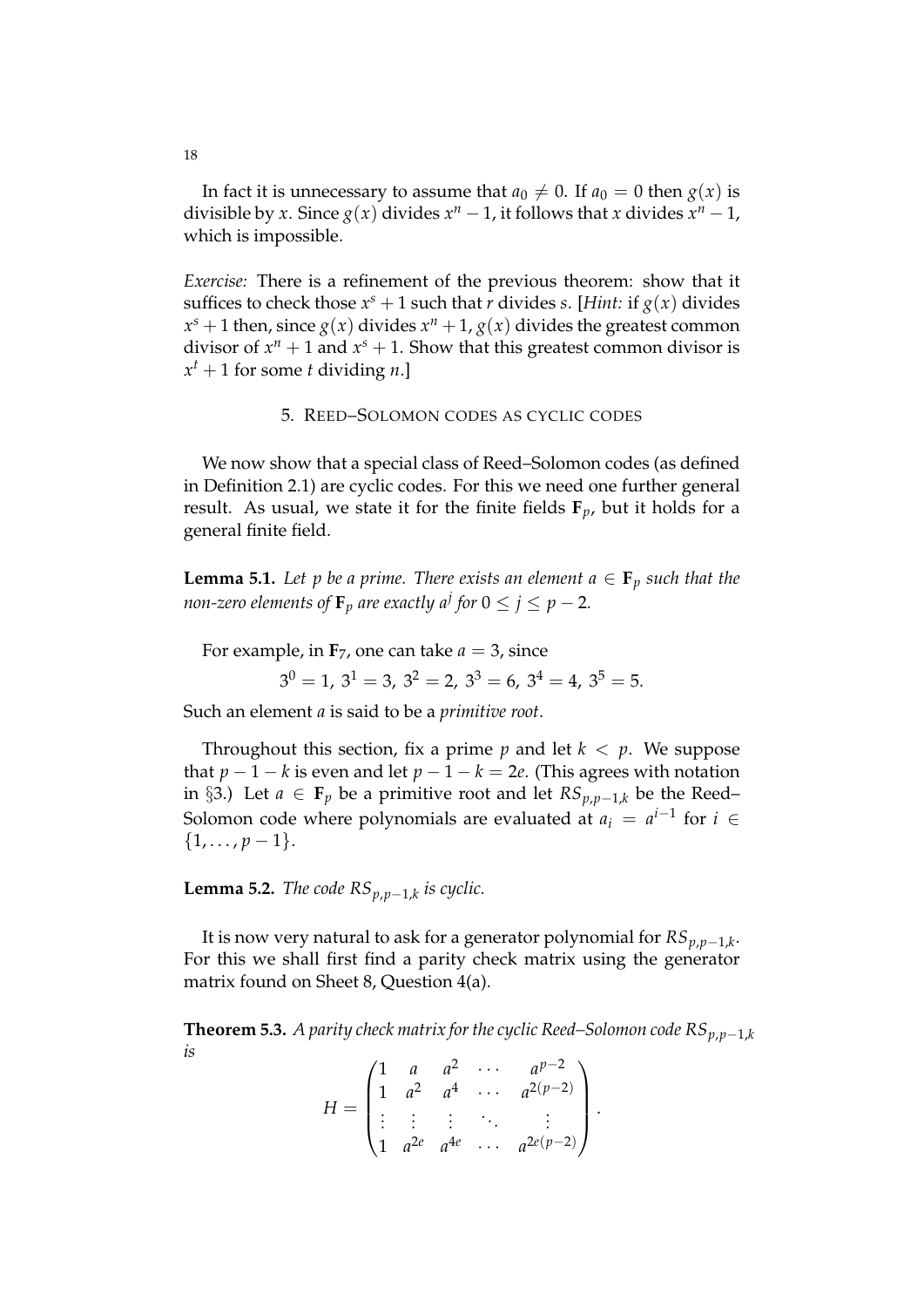In fact it is unnecessary to assume that  $a_0 \neq 0$ . If  $a_0 = 0$  then  $g(x)$  is divisible by *x*. Since  $g(x)$  divides  $x^n - 1$ , it follows that *x* divides  $x^n - 1$ , which is impossible.

*Exercise:* There is a refinement of the previous theorem: show that it suffices to check those  $x^s + 1$  such that *r* divides *s*. [*Hint:* if  $g(x)$  divides  $x^s + 1$  then, since  $g(x)$  divides  $x^n + 1$ ,  $g(x)$  divides the greatest common divisor of  $x^n + 1$  and  $x^s + 1$ . Show that this greatest common divisor is  $x^t + 1$  for some *t* dividing *n*.]

# 5. REED–SOLOMON CODES AS CYCLIC CODES

We now show that a special class of Reed–Solomon codes (as defined in Definition 2.1) are cyclic codes. For this we need one further general result. As usual, we state it for the finite fields  $\mathbf{F}_p$ , but it holds for a general finite field.

**Lemma 5.1.** *Let p be a prime. There exists an element*  $a \in \mathbf{F}_p$  *such that the non-zero elements of*  $\mathbf{F}_p$  *are exactly a<sup>j</sup> for 0*  $\leq$  *j*  $\leq$  *p*  $-$  *2.* 

For example, in  $\mathbf{F}_7$ , one can take  $a = 3$ , since

 $3^0 = 1$ ,  $3^1 = 3$ ,  $3^2 = 2$ ,  $3^3 = 6$ ,  $3^4 = 4$ ,  $3^5 = 5$ .

Such an element *a* is said to be a *primitive root*.

Throughout this section, fix a prime  $p$  and let  $k < p$ . We suppose that  $p - 1 - k$  is even and let  $p - 1 - k = 2e$ . (This agrees with notation in §3.) Let *a* ∈ **F**<sub>*p*</sub> be a primitive root and let  $RS_{p,p-1,k}$  be the Reed– Solomon code where polynomials are evaluated at  $a_i = a^{i-1}$  for  $i \in$  $\{1, \ldots, p-1\}.$ 

**Lemma 5.2.** *The code RSp*,*p*−1,*<sup>k</sup> is cyclic.*

It is now very natural to ask for a generator polynomial for *RSp*,*p*−1,*<sup>k</sup>* . For this we shall first find a parity check matrix using the generator matrix found on Sheet 8, Question 4(a).

**Theorem 5.3.** *A parity check matrix for the cyclic Reed–Solomon code*  $RS_{p,p-1,k}$ *is*

$$
H = \begin{pmatrix} 1 & a & a^2 & \cdots & a^{p-2} \\ 1 & a^2 & a^4 & \cdots & a^{2(p-2)} \\ \vdots & \vdots & \vdots & \ddots & \vdots \\ 1 & a^{2e} & a^{4e} & \cdots & a^{2e(p-2)} \end{pmatrix}.
$$

18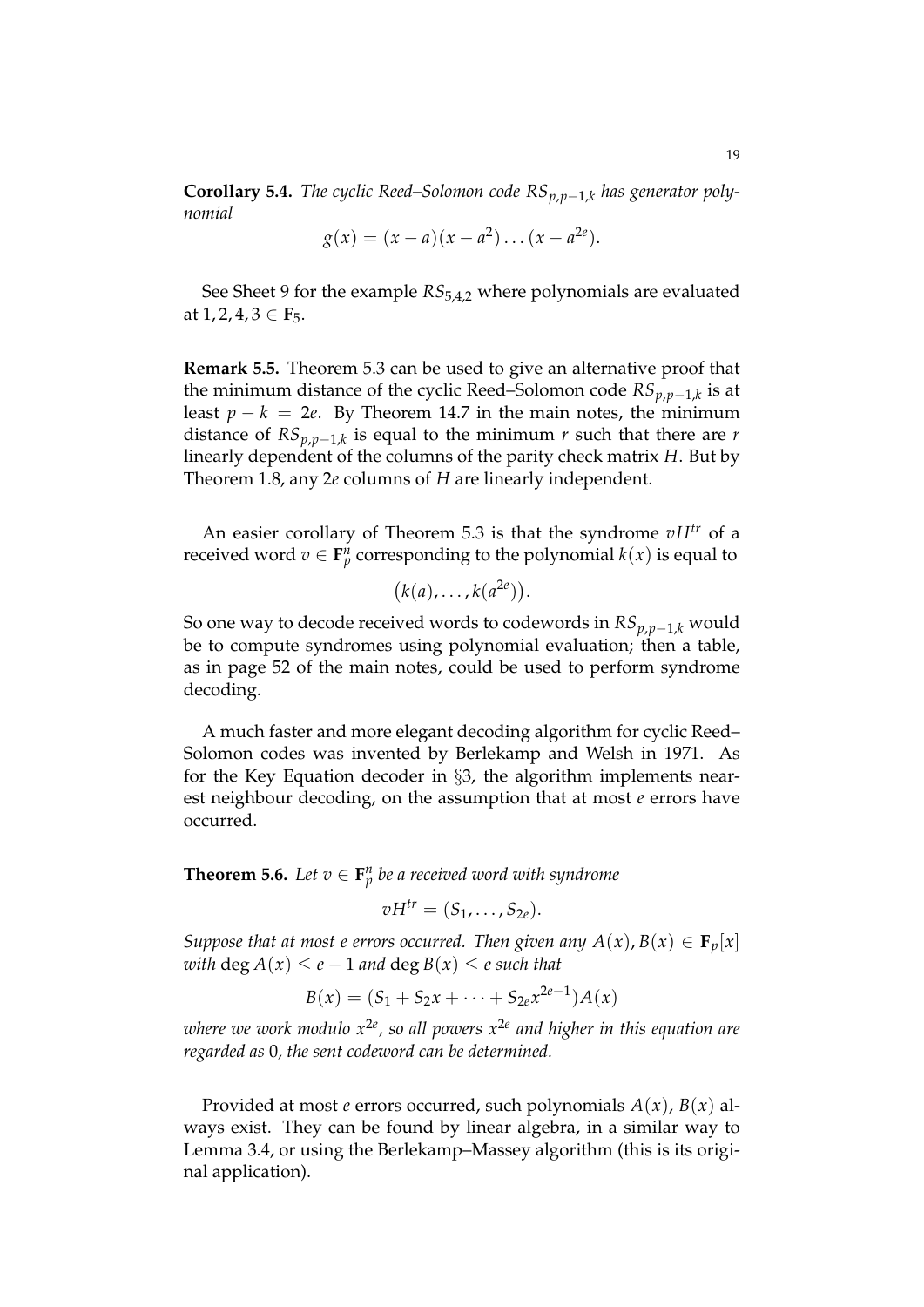**Corollary 5.4.** *The cyclic Reed–Solomon code*  $RS_{p,p-1,k}$  *has generator polynomial*

$$
g(x) = (x - a)(x - a^2) \dots (x - a^{2e}).
$$

See Sheet 9 for the example *RS*5,4,2 where polynomials are evaluated at 1, 2, 4, 3 ∈ **F**5.

**Remark 5.5.** Theorem 5.3 can be used to give an alternative proof that the minimum distance of the cyclic Reed–Solomon code *RSp*,*p*−1,*<sup>k</sup>* is at least  $p - k = 2e$ . By Theorem 14.7 in the main notes, the minimum distance of *RSp*,*p*−1,*<sup>k</sup>* is equal to the minimum *r* such that there are *r* linearly dependent of the columns of the parity check matrix *H*. But by Theorem 1.8, any 2*e* columns of *H* are linearly independent.

An easier corollary of Theorem 5.3 is that the syndrome *vHtr* of a received word  $v \in \mathbf{F}_p^n$  corresponding to the polynomial  $k(x)$  is equal to

$$
(k(a),\ldots,k(a^{2e})).
$$

So one way to decode received words to codewords in *RSp*,*p*−1,*<sup>k</sup>* would be to compute syndromes using polynomial evaluation; then a table, as in page 52 of the main notes, could be used to perform syndrome decoding.

A much faster and more elegant decoding algorithm for cyclic Reed– Solomon codes was invented by Berlekamp and Welsh in 1971. As for the Key Equation decoder in §3, the algorithm implements nearest neighbour decoding, on the assumption that at most *e* errors have occurred.

**Theorem 5.6.** Let  $v \in \mathbf{F}_p^n$  be a received word with syndrome

$$
vH^{tr}=(S_1,\ldots,S_{2e}).
$$

*Suppose that at most e errors occurred. Then given any*  $A(x)$ ,  $B(x) \in \mathbf{F}_p[x]$ *with*  $\deg A(x) \leq e - 1$  *and*  $\deg B(x) \leq e$  *such that* 

$$
B(x) = (S_1 + S_2x + \dots + S_{2e}x^{2e-1})A(x)
$$

*where we work modulo x*2*<sup>e</sup> , so all powers x*2*<sup>e</sup> and higher in this equation are regarded as* 0*, the sent codeword can be determined.*

Provided at most *e* errors occurred, such polynomials *A*(*x*), *B*(*x*) always exist. They can be found by linear algebra, in a similar way to Lemma 3.4, or using the Berlekamp–Massey algorithm (this is its original application).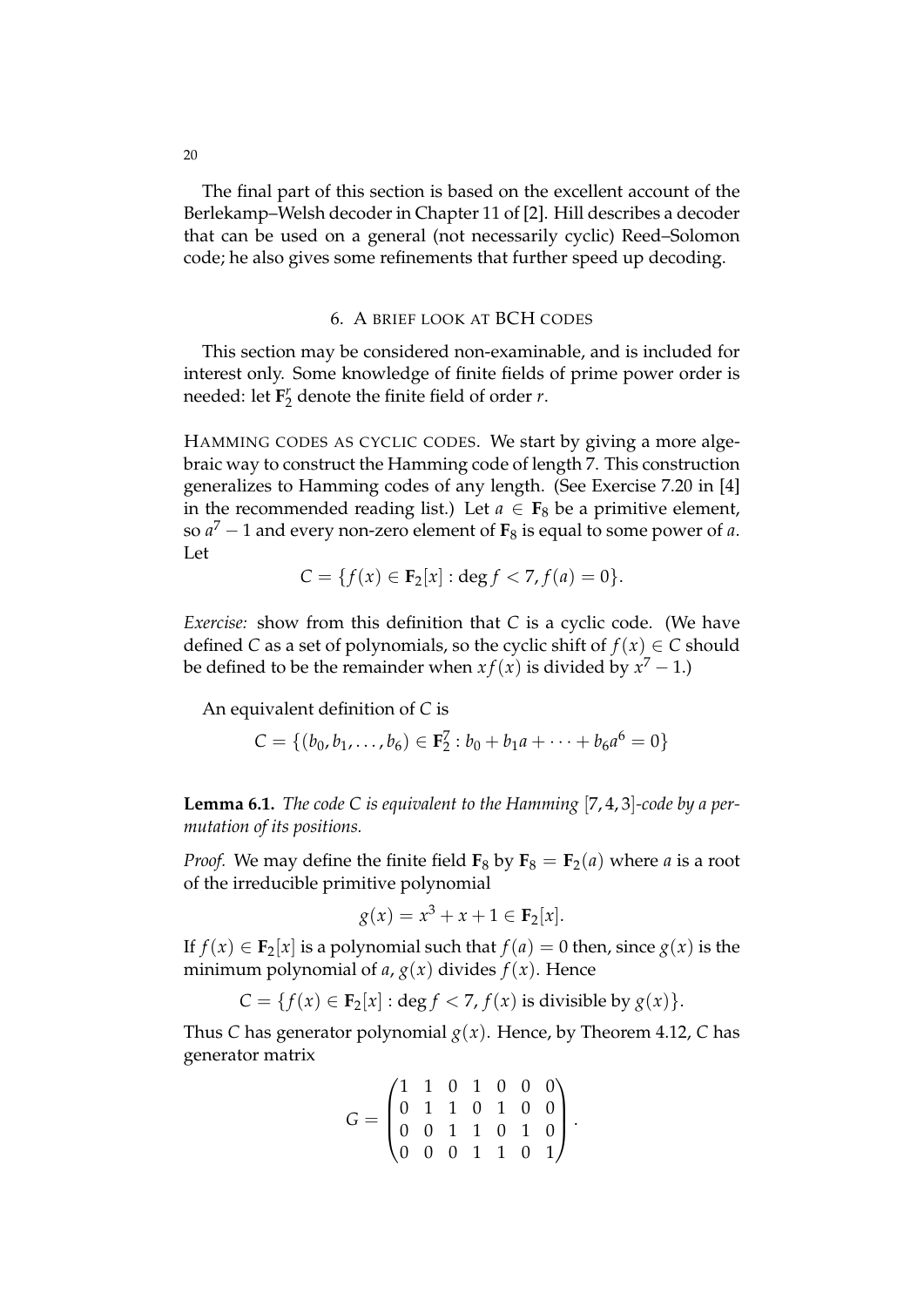The final part of this section is based on the excellent account of the Berlekamp–Welsh decoder in Chapter 11 of [2]. Hill describes a decoder that can be used on a general (not necessarily cyclic) Reed–Solomon code; he also gives some refinements that further speed up decoding.

# 6. A BRIEF LOOK AT BCH CODES

This section may be considered non-examinable, and is included for interest only. Some knowledge of finite fields of prime power order is needed: let **F** *r*  $\frac{r}{2}$  denote the finite field of order *r*.

HAMMING CODES AS CYCLIC CODES. We start by giving a more algebraic way to construct the Hamming code of length 7. This construction generalizes to Hamming codes of any length. (See Exercise 7.20 in [4] in the recommended reading list.) Let  $a \in \mathbf{F}_8$  be a primitive element, so *a* <sup>7</sup> − 1 and every non-zero element of **F**<sup>8</sup> is equal to some power of *a*. Let

$$
C = \{f(x) \in \mathbf{F}_2[x] : \deg f < 7, f(a) = 0\}.
$$

*Exercise:* show from this definition that *C* is a cyclic code. (We have defined *C* as a set of polynomials, so the cyclic shift of  $f(x) \in C$  should be defined to be the remainder when  $xf(x)$  is divided by  $x^7 - 1$ .)

An equivalent definition of *C* is

$$
C = \{ (b_0, b_1, \dots, b_6) \in \mathbf{F}_2^7 : b_0 + b_1 a + \dots + b_6 a^6 = 0 \}
$$

**Lemma 6.1.** *The code C is equivalent to the Hamming* [7, 4, 3]*-code by a permutation of its positions.*

*Proof.* We may define the finite field  $\mathbf{F}_8$  by  $\mathbf{F}_8 = \mathbf{F}_2(a)$  where *a* is a root of the irreducible primitive polynomial

$$
g(x) = x^3 + x + 1 \in \mathbf{F}_2[x].
$$

If  $f(x) \in \mathbf{F}_2[x]$  is a polynomial such that  $f(a) = 0$  then, since  $g(x)$  is the minimum polynomial of *a*,  $g(x)$  divides  $f(x)$ . Hence

$$
C = \{f(x) \in \mathbf{F}_2[x] : \text{deg } f < 7, f(x) \text{ is divisible by } g(x)\}.
$$

Thus *C* has generator polynomial  $g(x)$ . Hence, by Theorem 4.12, *C* has generator matrix

$$
G = \begin{pmatrix} 1 & 1 & 0 & 1 & 0 & 0 & 0 \\ 0 & 1 & 1 & 0 & 1 & 0 & 0 \\ 0 & 0 & 1 & 1 & 0 & 1 & 0 \\ 0 & 0 & 0 & 1 & 1 & 0 & 1 \end{pmatrix}.
$$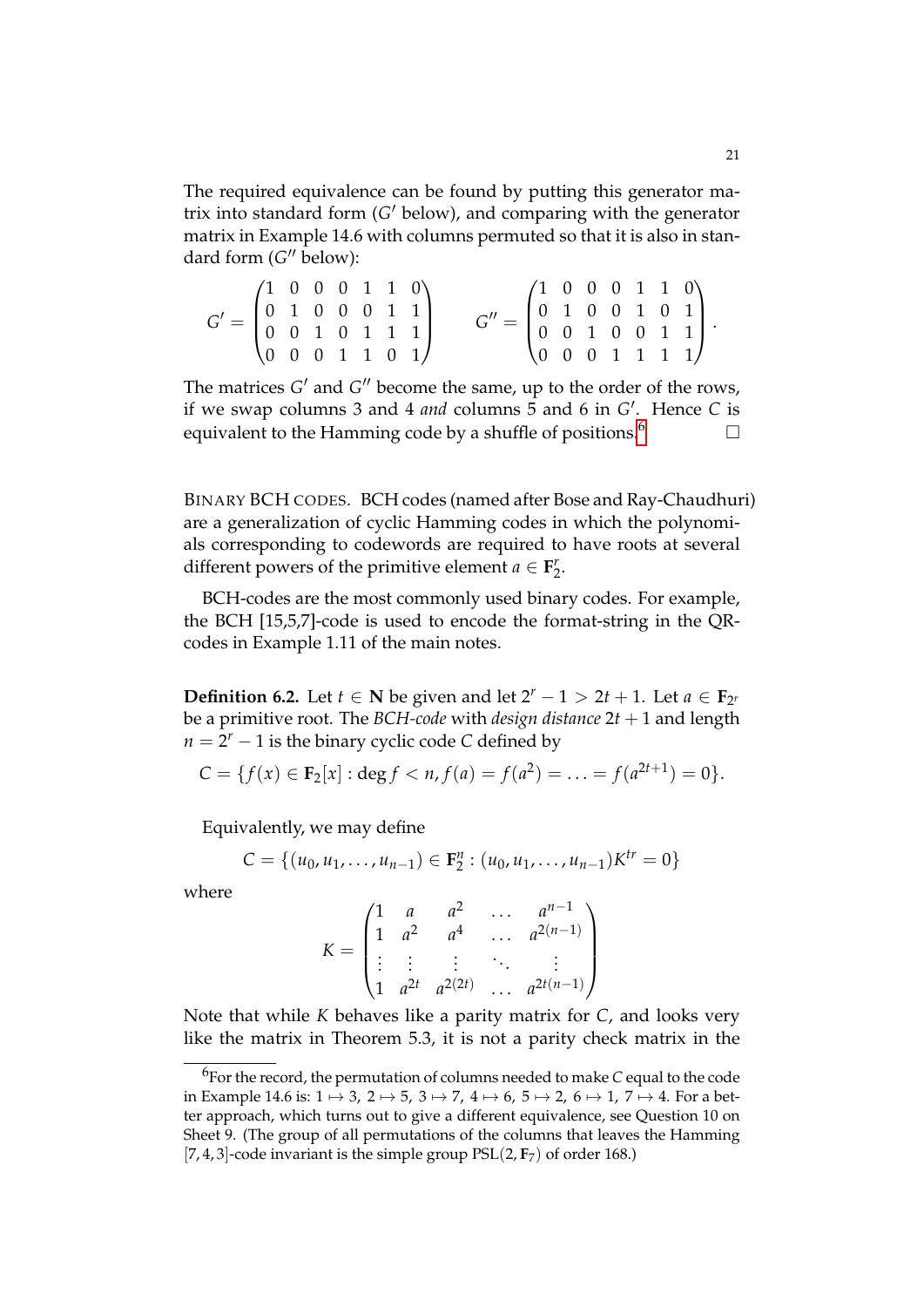The required equivalence can be found by putting this generator matrix into standard form (G' below), and comparing with the generator matrix in Example 14.6 with columns permuted so that it is also in standard form (G" below):

*G* <sup>0</sup> = 1 0 0 0 1 1 0 0 1 0 0 0 1 1 0 0 1 0 1 1 1 0 0 0 1 1 0 1 *G* <sup>00</sup> = 1 0 0 0 1 1 0 0 1 0 0 1 0 1 0 0 1 0 0 1 1 0 0 0 1 1 1 1 .

The matrices  $G'$  and  $G''$  become the same, up to the order of the rows, if we swap columns 3 and 4 *and* columns 5 and 6 in G'. Hence C is equivalent to the Hamming code by a shuffle of positions.<sup>[6](#page-20-0)</sup>

BINARY BCH CODES. BCH codes (named after Bose and Ray-Chaudhuri) are a generalization of cyclic Hamming codes in which the polynomials corresponding to codewords are required to have roots at several different powers of the primitive element  $a \in \mathbf{F}_2^r$  $\frac{r}{2}$ .

BCH-codes are the most commonly used binary codes. For example, the BCH [15,5,7]-code is used to encode the format-string in the QRcodes in Example 1.11 of the main notes.

**Definition 6.2.** Let  $t \in \mathbb{N}$  be given and let  $2^r - 1 > 2t + 1$ . Let  $a \in \mathbb{F}_{2^r}$ be a primitive root. The *BCH-code* with *design distance* 2*t* + 1 and length  $n = 2<sup>r</sup> - 1$  is the binary cyclic code *C* defined by

$$
C = \{f(x) \in \mathbf{F}_2[x] : \deg f < n, f(a) = f(a^2) = \ldots = f(a^{2t+1}) = 0\}.
$$

Equivalently, we may define

$$
C = \{(u_0, u_1, \dots, u_{n-1}) \in \mathbf{F}_2^n : (u_0, u_1, \dots, u_{n-1})K^{tr} = 0\}
$$

where

$$
K = \begin{pmatrix} 1 & a & a^2 & \dots & a^{n-1} \\ 1 & a^2 & a^4 & \dots & a^{2(n-1)} \\ \vdots & \vdots & \vdots & \ddots & \vdots \\ 1 & a^{2t} & a^{2(2t)} & \dots & a^{2t(n-1)} \end{pmatrix}
$$

Note that while *K* behaves like a parity matrix for *C*, and looks very like the matrix in Theorem 5.3, it is not a parity check matrix in the

<span id="page-20-0"></span><sup>6</sup> For the record, the permutation of columns needed to make *C* equal to the code in Example 14.6 is:  $1 \mapsto 3$ ,  $2 \mapsto 5$ ,  $3 \mapsto 7$ ,  $4 \mapsto 6$ ,  $5 \mapsto 2$ ,  $6 \mapsto 1$ ,  $7 \mapsto 4$ . For a better approach, which turns out to give a different equivalence, see Question 10 on Sheet 9. (The group of all permutations of the columns that leaves the Hamming [7, 4, 3]-code invariant is the simple group  $PSL(2, F_7)$  of order 168.)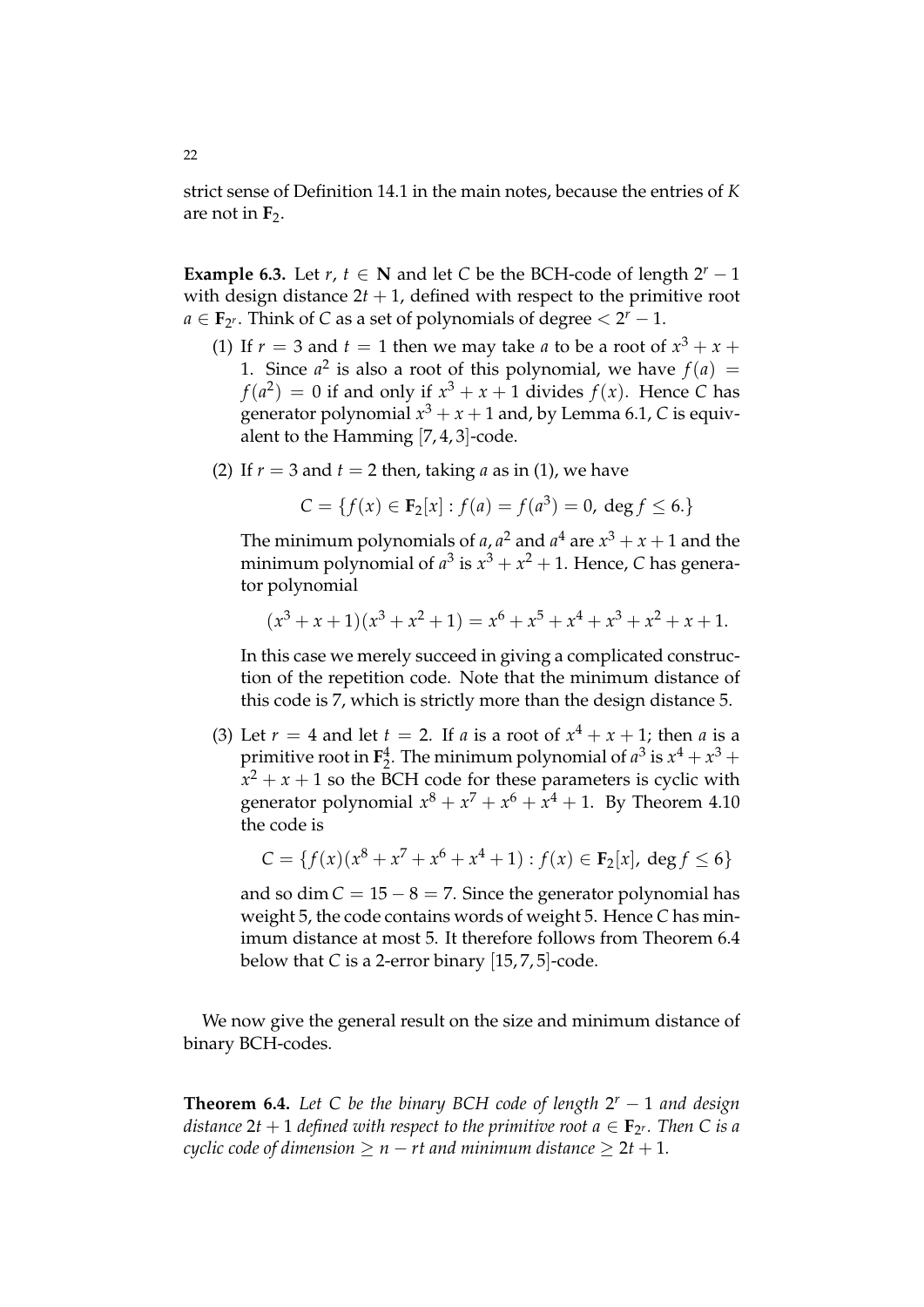strict sense of Definition 14.1 in the main notes, because the entries of *K* are not in  $F_2$ .

**Example 6.3.** Let  $r, t \in \mathbb{N}$  and let *C* be the BCH-code of length  $2^r - 1$ with design distance  $2t + 1$ , defined with respect to the primitive root  $a \in \mathbf{F}_{2^r}$ . Think of *C* as a set of polynomials of degree  $\lt 2^r - 1$ .

- (1) If  $r = 3$  and  $t = 1$  then we may take *a* to be a root of  $x^3 + x +$ 1. Since  $a^2$  is also a root of this polynomial, we have  $f(a) =$  $f(a^2) = 0$  if and only if  $x^3 + x + 1$  divides  $f(x)$ . Hence *C* has generator polynomial  $x^3 + x + 1$  and, by Lemma 6.1, C is equivalent to the Hamming [7, 4, 3]-code.
- (2) If  $r = 3$  and  $t = 2$  then, taking *a* as in (1), we have

$$
C = \{f(x) \in \mathbf{F}_2[x] : f(a) = f(a^3) = 0, \deg f \le 6.\}
$$

The minimum polynomials of *a*, *a*<sup>2</sup> and *a*<sup>4</sup> are  $x^3 + x + 1$  and the minimum polynomial of  $a^3$  is  $x^3 + x^2 + 1$ . Hence, C has generator polynomial

$$
(x3 + x + 1)(x3 + x2 + 1) = x6 + x5 + x4 + x3 + x2 + x + 1.
$$

In this case we merely succeed in giving a complicated construction of the repetition code. Note that the minimum distance of this code is 7, which is strictly more than the design distance 5.

(3) Let  $r = 4$  and let  $t = 2$ . If  $a$  is a root of  $x^4 + x + 1$ ; then  $a$  is a primitive root in  $\mathbf{F}_2^4$ . The minimum polynomial of  $a^3$  is  $x^4 + x^3 +$  $x^2 + x + 1$  so the BCH code for these parameters is cyclic with generator polynomial  $x^8 + x^7 + x^6 + x^4 + 1$ . By Theorem 4.10 the code is

$$
C = \{ f(x)(x^8 + x^7 + x^6 + x^4 + 1) : f(x) \in \mathbf{F}_2[x], \deg f \le 6 \}
$$

and so dim  $C = 15 - 8 = 7$ . Since the generator polynomial has weight 5, the code contains words of weight 5. Hence *C* has minimum distance at most 5. It therefore follows from Theorem 6.4 below that *C* is a 2-error binary [15, 7, 5]-code.

We now give the general result on the size and minimum distance of binary BCH-codes.

**Theorem 6.4.** *Let C be the binary BCH code of length* 2 *<sup>r</sup>* − 1 *and design* distance 2t  $+$  1 defined with respect to the primitive root a  $\in$  **F**<sub>2</sub>r. Then C is a *cyclic code of dimension*  $> n - rt$  *and minimum distance*  $> 2t + 1$ *.*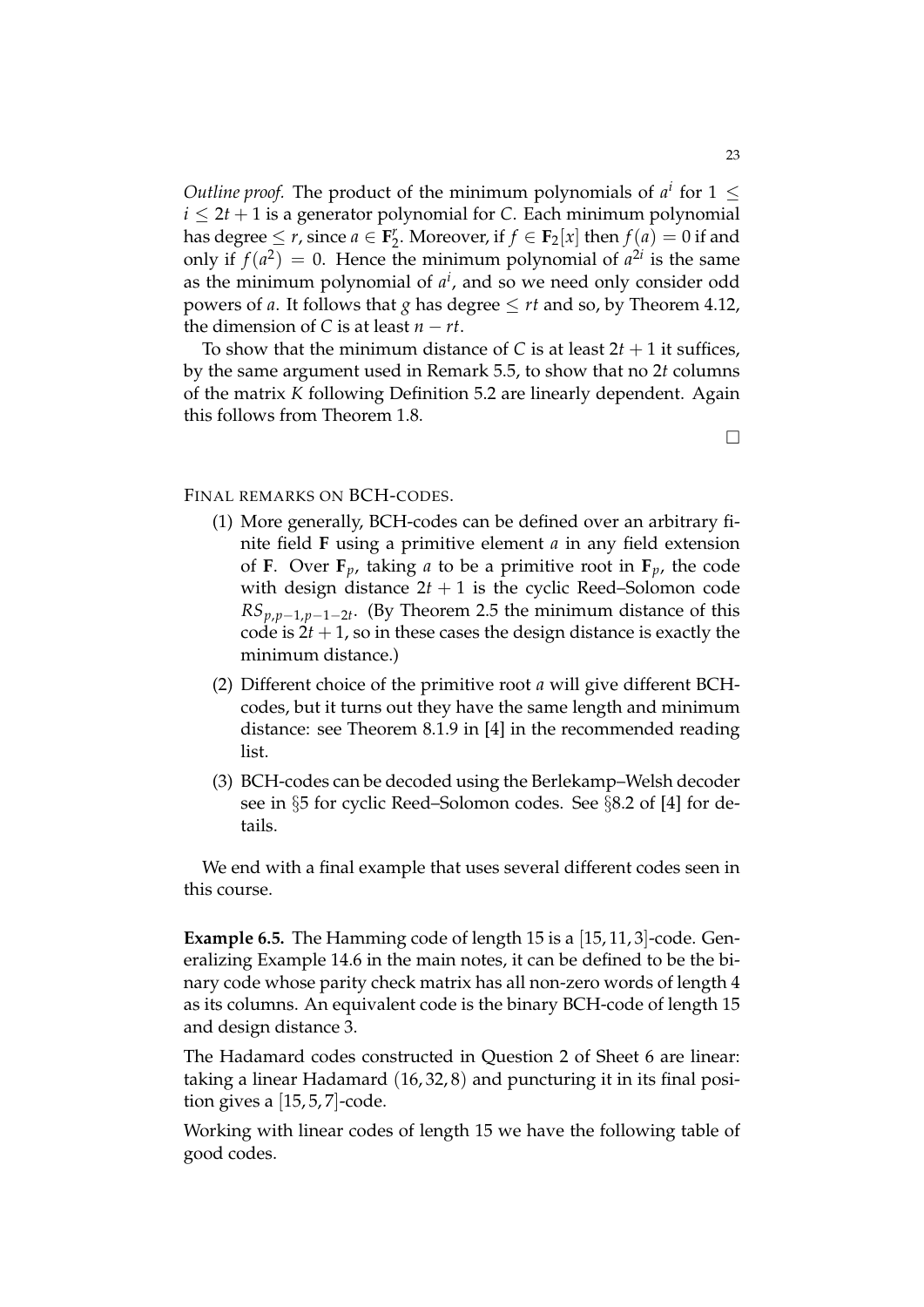*Outline proof.* The product of the minimum polynomials of  $a^i$  for  $1 \leq$  $i \leq 2t + 1$  is a generator polynomial for *C*. Each minimum polynomial has degree  $\leq r$ , since  $a \in \mathbf{F}_2^r$ <sup>*r*</sup><sub>2</sub>. Moreover, if  $f \in \mathbf{F}_2[x]$  then  $f(a) = 0$  if and only if  $f(a^2) = 0$ . Hence the minimum polynomial of  $a^{2i}$  is the same as the minimum polynomial of *a i* , and so we need only consider odd powers of *a*. It follows that *g* has degree  $\leq rt$  and so, by Theorem 4.12, the dimension of *C* is at least  $n - rt$ .

To show that the minimum distance of *C* is at least  $2t + 1$  it suffices, by the same argument used in Remark 5.5, to show that no 2*t* columns of the matrix *K* following Definition 5.2 are linearly dependent. Again this follows from Theorem 1.8.

FINAL REMARKS ON BCH-CODES.

- (1) More generally, BCH-codes can be defined over an arbitrary finite field **F** using a primitive element *a* in any field extension of **F**. Over **F**<sub>*p*</sub>, taking *a* to be a primitive root in **F**<sub>*p*</sub>, the code with design distance  $2t + 1$  is the cyclic Reed–Solomon code *RSp*,*p*−1,*p*−1−2*<sup>t</sup>* . (By Theorem 2.5 the minimum distance of this code is  $2t + 1$ , so in these cases the design distance is exactly the minimum distance.)
- (2) Different choice of the primitive root *a* will give different BCHcodes, but it turns out they have the same length and minimum distance: see Theorem 8.1.9 in [4] in the recommended reading list.
- (3) BCH-codes can be decoded using the Berlekamp–Welsh decoder see in §5 for cyclic Reed–Solomon codes. See §8.2 of [4] for details.

We end with a final example that uses several different codes seen in this course.

**Example 6.5.** The Hamming code of length 15 is a [15, 11, 3]-code. Generalizing Example 14.6 in the main notes, it can be defined to be the binary code whose parity check matrix has all non-zero words of length 4 as its columns. An equivalent code is the binary BCH-code of length 15 and design distance 3.

The Hadamard codes constructed in Question 2 of Sheet 6 are linear: taking a linear Hadamard (16, 32, 8) and puncturing it in its final position gives a  $[15, 5, 7]$ -code.

Working with linear codes of length 15 we have the following table of good codes.

 $\Box$